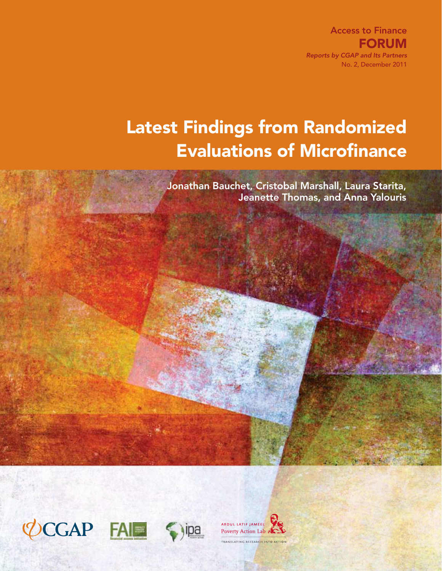Access to Finance **FORUM** *Reports by CGAP and Its Partners* No. 2, December 2011

# Latest Findings from Randomized Evaluations of Microfinance

Jonathan Bauchet, Cristobal Marshall, Laura Starita, Jeanette Thomas, and Anna Yalouris



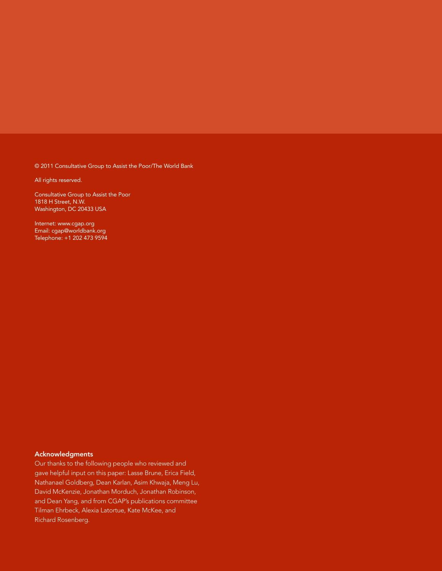© 2011 Consultative Group to Assist the Poor/The World Bank

All rights reserved.

Consultative Group to Assist the Poor 1818 H Street, N.W. Washington, DC 20433 USA

Internet: www.cgap.org Email: cgap@worldbank.org Telephone: +1 202 473 9594

### Acknowledgments

Our thanks to the following people who reviewed and gave helpful input on this paper: Lasse Brune, Erica Field, Nathanael Goldberg, Dean Karlan, Asim Khwaja, Meng Lu, David McKenzie, Jonathan Morduch, Jonathan Robinson, and Dean Yang, and from CGAP's publications committee Tilman Ehrbeck, Alexia Latortue, Kate McKee, and Richard Rosenberg.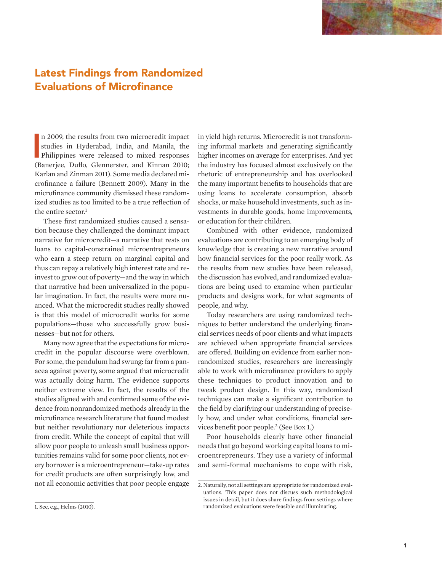### Latest Findings from Randomized Evaluations of Microfinance

n 2009, the results from two microcredit impact<br>studies in Hyderabad, India, and Manila, the<br>Philippines were released to mixed responses<br>(Banerjee, Duflo, Glennerster, and Kinnan 2010; n 2009, the results from two microcredit impact studies in Hyderabad, India, and Manila, the Philippines were released to mixed responses Karlan and Zinman 2011). Some media declared microfinance a failure (Bennett 2009). Many in the microfinance community dismissed these randomized studies as too limited to be a true reflection of the entire sector.<sup>1</sup>

These first randomized studies caused a sensation because they challenged the dominant impact narrative for microcredit—a narrative that rests on loans to capital-constrained microentrepreneurs who earn a steep return on marginal capital and thus can repay a relatively high interest rate and reinvest to grow out of poverty—and the way in which that narrative had been universalized in the popular imagination. In fact, the results were more nuanced. What the microcredit studies really showed is that this model of microcredit works for some populations—those who successfully grow businesses—but not for others.

Many now agree that the expectations for microcredit in the popular discourse were overblown. For some, the pendulum had swung: far from a panacea against poverty, some argued that microcredit was actually doing harm. The evidence supports neither extreme view. In fact, the results of the studies aligned with and confirmed some of the evidence from nonrandomized methods already in the microfinance research literature that found modest but neither revolutionary nor deleterious impacts from credit. While the concept of capital that will allow poor people to unleash small business opportunities remains valid for some poor clients, not every borrower is a microentrepreneur—take-up rates for credit products are often surprisingly low, and not all economic activities that poor people engage

1. See, e.g., Helms (2010).

in yield high returns. Microcredit is not transforming informal markets and generating significantly higher incomes on average for enterprises. And yet the industry has focused almost exclusively on the rhetoric of entrepreneurship and has overlooked the many important benefits to households that are using loans to accelerate consumption, absorb shocks, or make household investments, such as investments in durable goods, home improvements, or education for their children.

Combined with other evidence, randomized evaluations are contributing to an emerging body of knowledge that is creating a new narrative around how financial services for the poor really work. As the results from new studies have been released, the discussion has evolved, and randomized evaluations are being used to examine when particular products and designs work, for what segments of people, and why.

Today researchers are using randomized techniques to better understand the underlying financial services needs of poor clients and what impacts are achieved when appropriate financial services are offered. Building on evidence from earlier nonrandomized studies, researchers are increasingly able to work with microfinance providers to apply these techniques to product innovation and to tweak product design. In this way, randomized techniques can make a significant contribution to the field by clarifying our understanding of precisely how, and under what conditions, financial services benefit poor people.2 (See Box 1.)

Poor households clearly have other financial needs that go beyond working capital loans to microentrepreneurs. They use a variety of informal and semi-formal mechanisms to cope with risk,

<sup>2.</sup> Naturally, not all settings are appropriate for randomized evaluations. This paper does not discuss such methodological issues in detail, but it does share findings from settings where randomized evaluations were feasible and illuminating.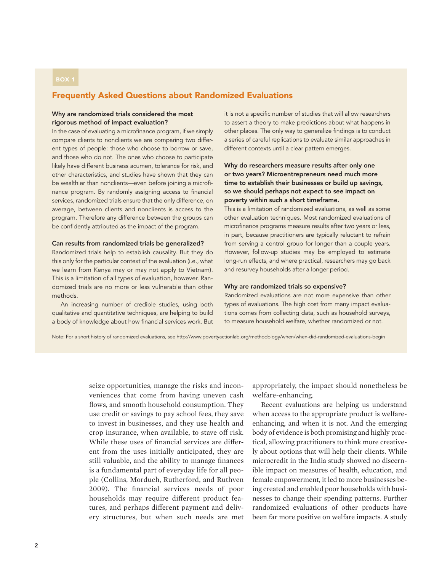### Frequently Asked Questions about Randomized Evaluations

### Why are randomized trials considered the most rigorous method of impact evaluation?

In the case of evaluating a microfinance program, if we simply compare clients to nonclients we are comparing two different types of people: those who choose to borrow or save, and those who do not. The ones who choose to participate likely have different business acumen, tolerance for risk, and other characteristics, and studies have shown that they can be wealthier than nonclients—even before joining a microfinance program. By randomly assigning access to financial services, randomized trials ensure that the only difference, on average, between clients and nonclients is access to the program. Therefore any difference between the groups can be confidently attributed as the impact of the program.

### Can results from randomized trials be generalized?

Randomized trials help to establish causality. But they do this only for the particular context of the evaluation (i.e., what we learn from Kenya may or may not apply to Vietnam). This is a limitation of all types of evaluation, however. Randomized trials are no more or less vulnerable than other methods.

An increasing number of credible studies, using both qualitative and quantitative techniques, are helping to build a body of knowledge about how financial services work. But it is not a specific number of studies that will allow researchers to assert a theory to make predictions about what happens in other places. The only way to generalize findings is to conduct a series of careful replications to evaluate similar approaches in different contexts until a clear pattern emerges.

### Why do researchers measure results after only one or two years? Microentrepreneurs need much more time to establish their businesses or build up savings, so we should perhaps not expect to see impact on poverty within such a short timeframe.

This is a limitation of randomized evaluations, as well as some other evaluation techniques. Most randomized evaluations of microfinance programs measure results after two years or less, in part, because practitioners are typically reluctant to refrain from serving a control group for longer than a couple years. However, follow-up studies may be employed to estimate long-run effects, and where practical, researchers may go back and resurvey households after a longer period.

#### Why are randomized trials so expensive?

Randomized evaluations are not more expensive than other types of evaluations. The high cost from many impact evaluations comes from collecting data, such as household surveys, to measure household welfare, whether randomized or not.

Note: For a short history of randomized evaluations, see http://www.povertyactionlab.org/methodology/when/when-did-randomized-evaluations-begin

seize opportunities, manage the risks and inconveniences that come from having uneven cash flows, and smooth household consumption. They use credit or savings to pay school fees, they save to invest in businesses, and they use health and crop insurance, when available, to stave off risk. While these uses of financial services are different from the uses initially anticipated, they are still valuable, and the ability to manage finances is a fundamental part of everyday life for all people (Collins, Morduch, Rutherford, and Ruthven 2009). The financial services needs of poor households may require different product features, and perhaps different payment and delivery structures, but when such needs are met

appropriately, the impact should nonetheless be welfare-enhancing.

Recent evaluations are helping us understand when access to the appropriate product is welfareenhancing, and when it is not. And the emerging body of evidence is both promising and highly practical, allowing practitioners to think more creatively about options that will help their clients. While microcredit in the India study showed no discernible impact on measures of health, education, and female empowerment, it led to more businesses being created and enabled poor households with businesses to change their spending patterns. Further randomized evaluations of other products have been far more positive on welfare impacts. A study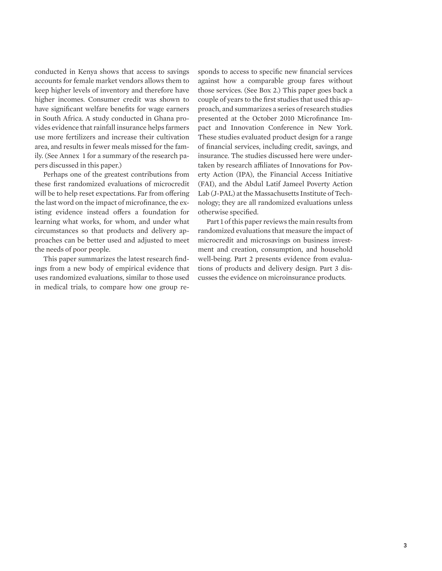conducted in Kenya shows that access to savings accounts for female market vendors allows them to keep higher levels of inventory and therefore have higher incomes. Consumer credit was shown to have significant welfare benefits for wage earners in South Africa. A study conducted in Ghana provides evidence that rainfall insurance helps farmers use more fertilizers and increase their cultivation area, and results in fewer meals missed for the family. (See Annex 1 for a summary of the research papers discussed in this paper.)

Perhaps one of the greatest contributions from these first randomized evaluations of microcredit will be to help reset expectations. Far from offering the last word on the impact of microfinance, the existing evidence instead offers a foundation for learning what works, for whom, and under what circumstances so that products and delivery approaches can be better used and adjusted to meet the needs of poor people.

This paper summarizes the latest research findings from a new body of empirical evidence that uses randomized evaluations, similar to those used in medical trials, to compare how one group responds to access to specific new financial services against how a comparable group fares without those services. (See Box 2.) This paper goes back a couple of years to the first studies that used this approach, and summarizes a series of research studies presented at the October 2010 Microfinance Impact and Innovation Conference in New York. These studies evaluated product design for a range of financial services, including credit, savings, and insurance. The studies discussed here were undertaken by research affiliates of Innovations for Poverty Action (IPA), the Financial Access Initiative (FAI), and the Abdul Latif Jameel Poverty Action Lab (J-PAL) at the Massachusetts Institute of Technology; they are all randomized evaluations unless otherwise specified.

Part 1 of this paper reviews the main results from randomized evaluations that measure the impact of microcredit and microsavings on business investment and creation, consumption, and household well-being. Part 2 presents evidence from evaluations of products and delivery design. Part 3 discusses the evidence on microinsurance products.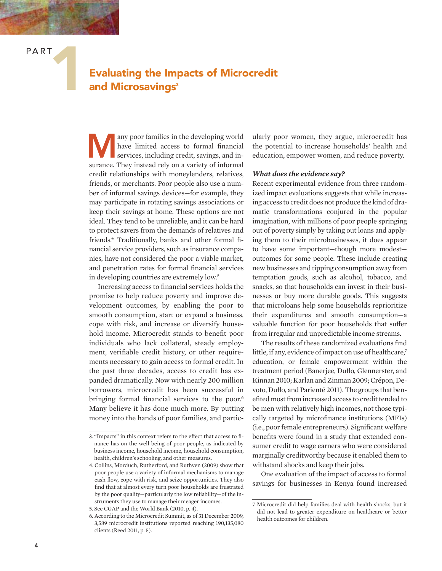### Evaluating the Impacts of Microcredit and Microsavings<sup>3</sup>

Many poor families in the developing world<br>
have limited access to formal financial<br>
services, including credit, savings, and in-<br>
surges. They instead this are a variety of informal have limited access to formal financial surance. They instead rely on a variety of informal credit relationships with moneylenders, relatives, friends, or merchants. Poor people also use a number of informal savings devices—for example, they may participate in rotating savings associations or keep their savings at home. These options are not ideal. They tend to be unreliable, and it can be hard to protect savers from the demands of relatives and friends.4 Traditionally, banks and other formal financial service providers, such as insurance companies, have not considered the poor a viable market, and penetration rates for formal financial services in developing countries are extremely low.<sup>5</sup>

Increasing access to financial services holds the promise to help reduce poverty and improve development outcomes, by enabling the poor to smooth consumption, start or expand a business, cope with risk, and increase or diversify household income. Microcredit stands to benefit poor individuals who lack collateral, steady employment, verifiable credit history, or other requirements necessary to gain access to formal credit. In the past three decades, access to credit has expanded dramatically. Now with nearly 200 million borrowers, microcredit has been successful in bringing formal financial services to the poor.<sup>6</sup> Many believe it has done much more. By putting money into the hands of poor families, and particularly poor women, they argue, microcredit has the potential to increase households' health and education, empower women, and reduce poverty.

### *What does the evidence say?*

Recent experimental evidence from three randomized impact evaluations suggests that while increasing access to credit does not produce the kind of dramatic transformations conjured in the popular imagination, with millions of poor people springing out of poverty simply by taking out loans and applying them to their microbusinesses, it does appear to have some important—though more modest outcomes for some people. These include creating new businesses and tipping consumption away from temptation goods, such as alcohol, tobacco, and snacks, so that households can invest in their businesses or buy more durable goods. This suggests that microloans help some households reprioritize their expenditures and smooth consumption—a valuable function for poor households that suffer from irregular and unpredictable income streams.

The results of these randomized evaluations find little, if any, evidence of impact on use of healthcare,<sup>7</sup> education, or female empowerment within the treatment period (Banerjee, Duflo, Glennerster, and Kinnan 2010; Karlan and Zinman 2009; Crépon, Devoto, Duflo, and Parienté 2011). The groups that benefited most from increased access to credit tended to be men with relatively high incomes, not those typically targeted by microfinance institutions (MFIs) (i.e., poor female entrepreneurs). Significant welfare benefits were found in a study that extended consumer credit to wage earners who were considered marginally creditworthy because it enabled them to withstand shocks and keep their jobs.

One evaluation of the impact of access to formal savings for businesses in Kenya found increased

<sup>3. &</sup>quot;Impacts" in this context refers to the effect that access to finance has on the well-being of poor people, as indicated by business income, household income, household consumption, health, children's schooling, and other measures.

<sup>4.</sup> Collins, Morduch, Rutherford, and Ruthven (2009) show that poor people use a variety of informal mechanisms to manage cash flow, cope with risk, and seize opportunities. They also find that at almost every turn poor households are frustrated by the poor quality—particularly the low reliability—of the instruments they use to manage their meager incomes.

<sup>5.</sup> See CGAP and the World Bank (2010, p. 4).

<sup>6.</sup> According to the Microcredit Summit, as of 31 December 2009, 3,589 microcredit institutions reported reaching 190,135,080 clients (Reed 2011, p. 5).

<sup>7.</sup> Microcredit did help families deal with health shocks, but it did not lead to greater expenditure on healthcare or better health outcomes for children.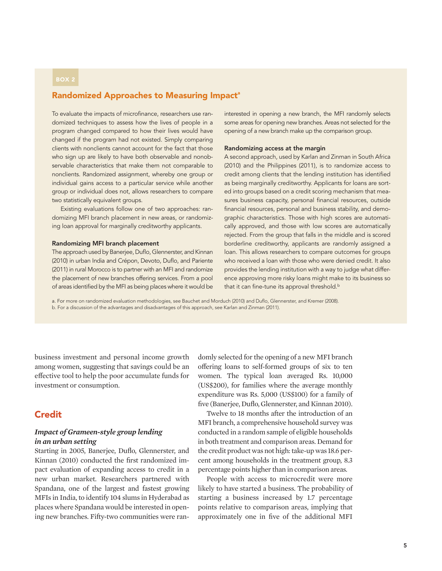### Randomized Approaches to Measuring Impact<sup>a</sup>

To evaluate the impacts of microfinance, researchers use randomized techniques to assess how the lives of people in a program changed compared to how their lives would have changed if the program had not existed. Simply comparing clients with nonclients cannot account for the fact that those who sign up are likely to have both observable and nonobservable characteristics that make them not comparable to nonclients. Randomized assignment, whereby one group or individual gains access to a particular service while another group or individual does not, allows researchers to compare two statistically equivalent groups.

Existing evaluations follow one of two approaches: randomizing MFI branch placement in new areas, or randomizing loan approval for marginally creditworthy applicants.

### Randomizing MFI branch placement

The approach used by Banerjee, Duflo, Glennerster, and Kinnan (2010) in urban India and Crépon, Devoto, Duflo, and Pariente (2011) in rural Morocco is to partner with an MFI and randomize the placement of new branches offering services. From a pool of areas identified by the MFI as being places where it would be interested in opening a new branch, the MFI randomly selects some areas for opening new branches. Areas not selected for the opening of a new branch make up the comparison group.

### Randomizing access at the margin

A second approach, used by Karlan and Zinman in South Africa (2010) and the Philippines (2011), is to randomize access to credit among clients that the lending institution has identified as being marginally creditworthy. Applicants for loans are sorted into groups based on a credit scoring mechanism that measures business capacity, personal financial resources, outside financial resources, personal and business stability, and demographic characteristics. Those with high scores are automatically approved, and those with low scores are automatically rejected. From the group that falls in the middle and is scored borderline creditworthy, applicants are randomly assigned a loan. This allows researchers to compare outcomes for groups who received a loan with those who were denied credit. It also provides the lending institution with a way to judge what difference approving more risky loans might make to its business so that it can fine-tune its approval threshold.<sup>b</sup>

a. For more on randomized evaluation methodologies, see Bauchet and Morduch (2010) and Duflo, Glennerster, and Kremer (2008). b. For a discussion of the advantages and disadvantages of this approach, see Karlan and Zinman (2011).

business investment and personal income growth among women, suggesting that savings could be an effective tool to help the poor accumulate funds for investment or consumption.

### **Credit**

### *Impact of Grameen-style group lending in an urban setting*

Starting in 2005, Banerjee, Duflo, Glennerster, and Kinnan (2010) conducted the first randomized impact evaluation of expanding access to credit in a new urban market. Researchers partnered with Spandana, one of the largest and fastest growing MFIs in India, to identify 104 slums in Hyderabad as places where Spandana would be interested in opening new branches. Fifty-two communities were randomly selected for the opening of a new MFI branch offering loans to self-formed groups of six to ten women. The typical loan averaged Rs. 10,000 (US\$200), for families where the average monthly expenditure was Rs. 5,000 (US\$100) for a family of five (Banerjee, Duflo, Glennerster, and Kinnan 2010).

Twelve to 18 months after the introduction of an MFI branch, a comprehensive household survey was conducted in a random sample of eligible households in both treatment and comparison areas. Demand for the credit product was not high: take-up was 18.6 percent among households in the treatment group, 8.3 percentage points higher than in comparison areas.

People with access to microcredit were more likely to have started a business. The probability of starting a business increased by 1.7 percentage points relative to comparison areas, implying that approximately one in five of the additional MFI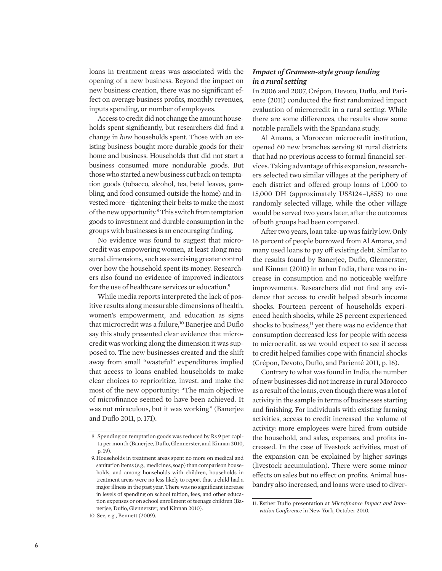loans in treatment areas was associated with the opening of a new business. Beyond the impact on new business creation, there was no significant effect on average business profits, monthly revenues, inputs spending, or number of employees.

Access to credit did not change the amount households spent significantly, but researchers did find a change in *how* households spent. Those with an existing business bought more durable goods for their home and business. Households that did not start a business consumed more nondurable goods. But those who started a new business cut back on temptation goods (tobacco, alcohol, tea, betel leaves, gambling, and food consumed outside the home) and invested more—tightening their belts to make the most of the new opportunity.<sup>8</sup> This switch from temptation goods to investment and durable consumption in the groups with businesses is an encouraging finding.

No evidence was found to suggest that microcredit was empowering women, at least along measured dimensions, such as exercising greater control over how the household spent its money. Researchers also found no evidence of improved indicators for the use of healthcare services or education.<sup>9</sup>

While media reports interpreted the lack of positive results along measurable dimensions of health, women's empowerment, and education as signs that microcredit was a failure,<sup>10</sup> Banerjee and Duflo say this study presented clear evidence that microcredit was working along the dimension it was supposed to. The new businesses created and the shift away from small "wasteful" expenditures implied that access to loans enabled households to make clear choices to reprioritize, invest, and make the most of the new opportunity: "The main objective of microfinance seemed to have been achieved. It was not miraculous, but it was working" (Banerjee and Duflo 2011, p. 171).

### *Impact of Grameen-style group lending in a rural setting*

In 2006 and 2007, Crépon, Devoto, Duflo, and Pariente (2011) conducted the first randomized impact evaluation of microcredit in a rural setting. While there are some differences, the results show some notable parallels with the Spandana study.

Al Amana, a Moroccan microcredit institution, opened 60 new branches serving 81 rural districts that had no previous access to formal financial services. Taking advantage of this expansion, researchers selected two similar villages at the periphery of each district and offered group loans of 1,000 to 15,000 DH (approximately US\$124–1,855) to one randomly selected village, while the other village would be served two years later, after the outcomes of both groups had been compared.

After two years, loan take-up was fairly low. Only 16 percent of people borrowed from Al Amana, and many used loans to pay off existing debt. Similar to the results found by Banerjee, Duflo, Glennerster, and Kinnan (2010) in urban India, there was no increase in consumption and no noticeable welfare improvements. Researchers did not find any evidence that access to credit helped absorb income shocks. Fourteen percent of households experienced health shocks, while 25 percent experienced shocks to business,<sup>11</sup> yet there was no evidence that consumption decreased less for people with access to microcredit, as we would expect to see if access to credit helped families cope with financial shocks (Crépon, Devoto, Duflo, and Parienté 2011, p. 16).

Contrary to what was found in India, the number of new businesses did not increase in rural Morocco as a result of the loans, even though there was a lot of activity in the sample in terms of businesses starting and finishing. For individuals with existing farming activities, access to credit increased the volume of activity: more employees were hired from outside the household, and sales, expenses, and profits increased. In the case of livestock activities, most of the expansion can be explained by higher savings (livestock accumulation). There were some minor effects on sales but no effect on profits. Animal husbandry also increased, and loans were used to diver-

 <sup>8.</sup> Spending on temptation goods was reduced by Rs 9 per capita per month (Banerjee, Duflo, Glennerster, and Kinnan 2010, p. 19).

 <sup>9.</sup> Households in treatment areas spent no more on medical and sanitation items (e.g., medicines, soap) than comparison households, and among households with children, households in treatment areas were no less likely to report that a child had a major illness in the past year. There was no significant increase in levels of spending on school tuition, fees, and other education expenses or on school enrollment of teenage children (Banerjee, Duflo, Glennerster, and Kinnan 2010).

<sup>10.</sup> See, e.g., Bennett (2009).

<sup>11.</sup> Esther Duflo presentation at *Microfinance Impact and Innovation Conference* in New York, October 2010.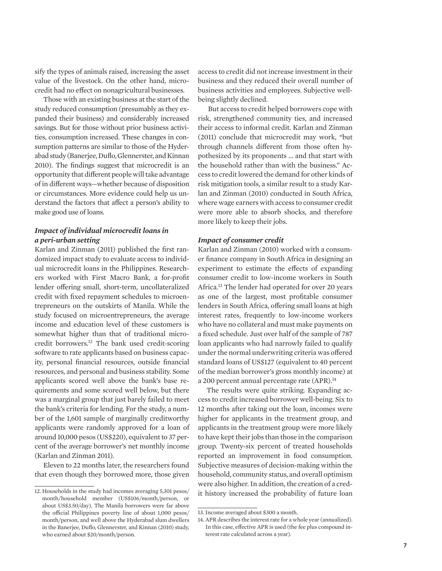sify the types of animals raised, increasing the asset value of the livestock. On the other hand, microcredit had no effect on nonagricultural businesses.

Those with an existing business at the start of the study reduced consumption (presumably as they expanded their business) and considerably increased savings. But for those without prior business activities, consumption increased. These changes in consumption patterns are similar to those of the Hyderabad study (Banerjee, Duflo, Glennerster, and Kinnan 2010). The findings suggest that microcredit is an opportunity that different people will take advantage of in different ways—whether because of disposition or circumstances. More evidence could help us understand the factors that affect a person's ability to make good use of loans.

### *Impact of individual microcredit loans in a peri-urban setting*

Karlan and Zinman (2011) published the first randomized impact study to evaluate access to individual microcredit loans in the Philippines. Researchers worked with First Macro Bank, a for-profit lender offering small, short-term, uncollateralized credit with fixed repayment schedules to microentrepreneurs on the outskirts of Manila. While the study focused on microentrepreneurs, the average income and education level of these customers is somewhat higher than that of traditional microcredit borrowers.12 The bank used credit-scoring software to rate applicants based on business capacity, personal financial resources, outside financial resources, and personal and business stability. Some applicants scored well above the bank's base requirements and some scored well below, but there was a marginal group that just barely failed to meet the bank's criteria for lending. For the study, a number of the 1,601 sample of marginally creditworthy applicants were randomly approved for a loan of around 10,000 pesos (US\$220), equivalent to 37 percent of the average borrower's net monthly income (Karlan and Zinman 2011).

Eleven to 22 months later, the researchers found that even though they borrowed more, those given access to credit did not increase investment in their business and they reduced their overall number of business activities and employees. Subjective wellbeing slightly declined.

 But access to credit helped borrowers cope with risk, strengthened community ties, and increased their access to informal credit. Karlan and Zinman (2011) conclude that microcredit may work, "but through channels different from those often hypothesized by its proponents … and that start with the household rather than with the business." Access to credit lowered the demand for other kinds of risk mitigation tools, a similar result to a study Karlan and Zinman (2010) conducted in South Africa, where wage earners with access to consumer credit were more able to absorb shocks, and therefore more likely to keep their jobs.

### *Impact of consumer credit*

Karlan and Zinman (2010) worked with a consumer finance company in South Africa in designing an experiment to estimate the effects of expanding consumer credit to low-income workers in South Africa.13 The lender had operated for over 20 years as one of the largest, most profitable consumer lenders in South Africa, offering small loans at high interest rates, frequently to low-income workers who have no collateral and must make payments on a fixed schedule. Just over half of the sample of 787 loan applicants who had narrowly failed to qualify under the normal underwriting criteria was offered standard loans of US\$127 (equivalent to 40 percent of the median borrower's gross monthly income) at a 200 percent annual percentage rate (APR).<sup>14</sup>

The results were quite striking. Expanding access to credit increased borrower well-being. Six to 12 months after taking out the loan, incomes were higher for applicants in the treatment group, and applicants in the treatment group were more likely to have kept their jobs than those in the comparison group. Twenty-six percent of treated households reported an improvement in food consumption. Subjective measures of decision-making within the household, community status, and overall optimism were also higher. In addition, the creation of a cred-12. Households in the study had incomes averaging 5,301 pesos/ it history increased the probability of future loan

month/household member (US\$106/month/person, or about US\$3.50/day). The Manila borrowers were far above the official Philippines poverty line of about 1,000 pesos/ month/person, and well above the Hyderabad slum dwellers in the Banerjee, Duflo, Glennerster, and Kinnan (2010) study, who earned about \$20/month/person.

<sup>13.</sup> Income averaged about \$300 a month.

<sup>14.</sup> APR describes the interest rate for a whole year (annualized). In this case, effective APR is used (the fee plus compound interest rate calculated across a year).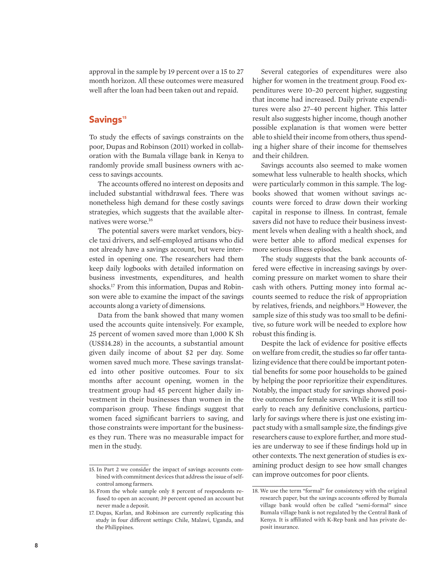approval in the sample by 19 percent over a 15 to 27 month horizon. All these outcomes were measured well after the loan had been taken out and repaid.

### Savings<sup>15</sup>

To study the effects of savings constraints on the poor, Dupas and Robinson (2011) worked in collaboration with the Bumala village bank in Kenya to randomly provide small business owners with access to savings accounts.

The accounts offered no interest on deposits and included substantial withdrawal fees. There was nonetheless high demand for these costly savings strategies, which suggests that the available alternatives were worse.16

The potential savers were market vendors, bicycle taxi drivers, and self-employed artisans who did not already have a savings account, but were interested in opening one. The researchers had them keep daily logbooks with detailed information on business investments, expenditures, and health shocks.17 From this information, Dupas and Robinson were able to examine the impact of the savings accounts along a variety of dimensions.

Data from the bank showed that many women used the accounts quite intensively. For example, 25 percent of women saved more than 1,000 K Sh (US\$14.28) in the accounts, a substantial amount given daily income of about \$2 per day. Some women saved much more. These savings translated into other positive outcomes. Four to six months after account opening, women in the treatment group had 45 percent higher daily investment in their businesses than women in the comparison group. These findings suggest that women faced significant barriers to saving, and those constraints were important for the businesses they run. There was no measurable impact for men in the study.

Several categories of expenditures were also higher for women in the treatment group. Food expenditures were 10–20 percent higher, suggesting that income had increased. Daily private expenditures were also 27–40 percent higher. This latter result also suggests higher income, though another possible explanation is that women were better able to shield their income from others, thus spending a higher share of their income for themselves and their children.

Savings accounts also seemed to make women somewhat less vulnerable to health shocks, which were particularly common in this sample. The logbooks showed that women without savings accounts were forced to draw down their working capital in response to illness. In contrast, female savers did not have to reduce their business investment levels when dealing with a health shock, and were better able to afford medical expenses for more serious illness episodes.

The study suggests that the bank accounts offered were effective in increasing savings by overcoming pressure on market women to share their cash with others. Putting money into formal accounts seemed to reduce the risk of appropriation by relatives, friends, and neighbors.<sup>18</sup> However, the sample size of this study was too small to be definitive, so future work will be needed to explore how robust this finding is.

Despite the lack of evidence for positive effects on welfare from credit, the studies so far offer tantalizing evidence that there could be important potential benefits for some poor households to be gained by helping the poor reprioritize their expenditures. Notably, the impact study for savings showed positive outcomes for female savers. While it is still too early to reach any definitive conclusions, particularly for savings where there is just one existing impact study with a small sample size, the findings give researchers cause to explore further, and more studies are underway to see if these findings hold up in other contexts. The next generation of studies is examining product design to see how small changes

<sup>15.</sup> In Part 2 we consider the impact of savings accounts com-<br>bined with commitment devices that address the issue of self-<br>can improve outcomes for poor clients. control among farmers.

<sup>16.</sup> From the whole sample only 8 percent of respondents refused to open an account; 39 percent opened an account but never made a deposit.

<sup>17.</sup> Dupas, Karlan, and Robinson are currently replicating this study in four different settings: Chile, Malawi, Uganda, and the Philippines.

<sup>18.</sup> We use the term "formal" for consistency with the original research paper, but the savings accounts offered by Bumala village bank would often be called "semi-formal" since Bumala village bank is not regulated by the Central Bank of Kenya. It is affiliated with K-Rep bank and has private deposit insurance.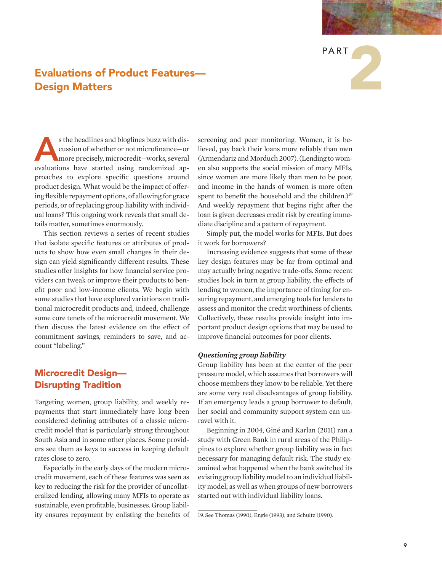

### Evaluations of Product Features— Design Matters

s the headlines and bloglines buzz with discussion of whether or not microfinance—or<br>
more precisely, microcredit—works, several<br>
multipliers, here at the value and smiles are cussion of whether or not microfinance—or evaluations have started using randomized approaches to explore specific questions around product design. What would be the impact of offering flexible repayment options, of allowing for grace periods, or of replacing group liability with individual loans? This ongoing work reveals that small details matter, sometimes enormously.

This section reviews a series of recent studies that isolate specific features or attributes of products to show how even small changes in their design can yield significantly different results. These studies offer insights for how financial service providers can tweak or improve their products to benefit poor and low-income clients. We begin with some studies that have explored variations on traditional microcredit products and, indeed, challenge some core tenets of the microcredit movement. We then discuss the latest evidence on the effect of commitment savings, reminders to save, and account "labeling."

### Microcredit Design— Disrupting Tradition

Targeting women, group liability, and weekly repayments that start immediately have long been considered defining attributes of a classic microcredit model that is particularly strong throughout South Asia and in some other places. Some providers see them as keys to success in keeping default rates close to zero.

Especially in the early days of the modern microcredit movement, each of these features was seen as key to reducing the risk for the provider of uncollateralized lending, allowing many MFIs to operate as sustainable, even profitable, businesses. Group liability ensures repayment by enlisting the benefits of screening and peer monitoring. Women, it is believed, pay back their loans more reliably than men (Armendariz and Morduch 2007). (Lending to women also supports the social mission of many MFIs, since women are more likely than men to be poor, and income in the hands of women is more often spent to benefit the household and the children.)<sup>19</sup> And weekly repayment that begins right after the loan is given decreases credit risk by creating immediate discipline and a pattern of repayment.

Simply put, the model works for MFIs. But does it work for borrowers?

Increasing evidence suggests that some of these key design features may be far from optimal and may actually bring negative trade-offs. Some recent studies look in turn at group liability, the effects of lending to women, the importance of timing for ensuring repayment, and emerging tools for lenders to assess and monitor the credit worthiness of clients. Collectively, these results provide insight into important product design options that may be used to improve financial outcomes for poor clients.

### *Questioning group liability*

Group liability has been at the center of the peer pressure model, which assumes that borrowers will choose members they know to be reliable. Yet there are some very real disadvantages of group liability. If an emergency leads a group borrower to default, her social and community support system can unravel with it.

Beginning in 2004, Giné and Karlan (2011) ran a study with Green Bank in rural areas of the Philippines to explore whether group liability was in fact necessary for managing default risk. The study examined what happened when the bank switched its existing group liability model to an individual liability model, as well as when groups of new borrowers started out with individual liability loans.

<sup>19.</sup> See Thomas (1990), Engle (1993), and Schultz (1990).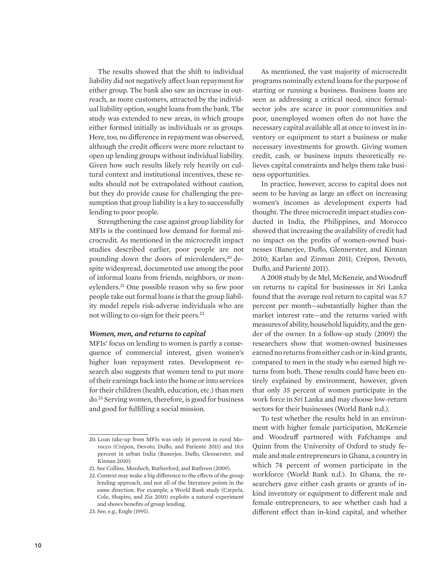The results showed that the shift to individual liability did not negatively affect loan repayment for either group. The bank also saw an increase in outreach, as more customers, attracted by the individual liability option, sought loans from the bank. The study was extended to new areas, in which groups either formed initially as individuals or as groups. Here, too, no difference in repayment was observed, although the credit officers were more reluctant to open up lending groups without individual liability. Given how such results likely rely heavily on cultural context and institutional incentives, these results should not be extrapolated without caution, but they do provide cause for challenging the presumption that group liability is a key to successfully lending to poor people.

Strengthening the case against group liability for MFIs is the continued low demand for formal microcredit. As mentioned in the microcredit impact studies described earlier, poor people are not pounding down the doors of microlenders,<sup>20</sup> despite widespread, documented use among the poor of informal loans from friends, neighbors, or moneylenders.21 One possible reason why so few poor people take out formal loans is that the group liability model repels risk-adverse individuals who are not willing to co-sign for their peers.<sup>22</sup>

### *Women, men, and returns to capital*

MFIs' focus on lending to women is partly a consequence of commercial interest, given women's higher loan repayment rates. Development research also suggests that women tend to put more of their earnings back into the home or into services for their children (health, education, etc.) than men do.23 Serving women, therefore, is good for business and good for fulfilling a social mission.

As mentioned, the vast majority of microcredit programs nominally extend loans for the purpose of starting or running a business. Business loans are seen as addressing a critical need, since formalsector jobs are scarce in poor communities and poor, unemployed women often do not have the necessary capital available all at once to invest in inventory or equipment to start a business or make necessary investments for growth. Giving women credit, cash, or business inputs theoretically relieves capital constraints and helps them take business opportunities.

In practice, however, access to capital does not seem to be having as large an effect on increasing women's incomes as development experts had thought. The three microcredit impact studies conducted in India, the Philippines, and Morocco showed that increasing the availability of credit had no impact on the profits of women-owned businesses (Banerjee, Duflo, Glennerster, and Kinnan 2010; Karlan and Zinman 2011; Crépon, Devoto, Duflo, and Parienté 2011).

A 2008 study by de Mel, McKenzie, and Woodruff on returns to capital for businesses in Sri Lanka found that the average real return to capital was 5.7 percent per month—substantially higher than the market interest rate—and the returns varied with measures of ability, household liquidity, and the gender of the owner. In a follow-up study (2009) the researchers show that women-owned businesses earned no returns from either cash or in-kind grants, compared to men in the study who earned high returns from both. These results could have been entirely explained by environment, however, given that only 35 percent of women participate in the work force in Sri Lanka and may choose low-return sectors for their businesses (World Bank n.d.).

To test whether the results held in an environment with higher female participation, McKenzie and Woodruff partnered with Fafchamps and Quinn from the University of Oxford to study female and male entrepreneurs in Ghana, a country in which 74 percent of women participate in the workforce (World Bank n.d.). In Ghana, the researchers gave either cash grants or grants of inkind inventory or equipment to different male and female entrepreneurs, to see whether cash had a different effect than in-kind capital, and whether

<sup>20.</sup> Loan take-up from MFIs was only 16 percent in rural Morocco (Crépon, Devoto, Duflo, and Parienté 2011) and 18.6 percent in urban India (Banerjee, Duflo, Glennerster, and Kinnan 2010).

<sup>21.</sup> See Collins, Morduch, Rutherford, and Ruthven (2009).

<sup>22.</sup> Context may make a big difference to the effects of the group lending approach, and not all of the literature points in the same direction. For example, a World Bank study (Carpela, Cole, Shapiro, and Zia 2010) exploits a natural experiment and shows benefits of group lending.

<sup>23.</sup> See, e.g., Engle (1991).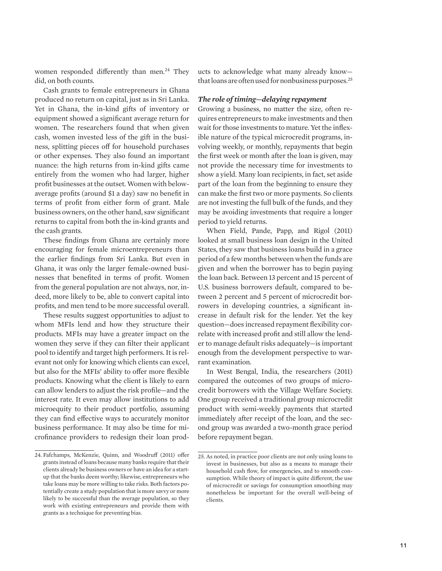women responded differently than men.<sup>24</sup> They did, on both counts.

Cash grants to female entrepreneurs in Ghana produced no return on capital, just as in Sri Lanka. Yet in Ghana, the in-kind gifts of inventory or equipment showed a significant average return for women. The researchers found that when given cash, women invested less of the gift in the business, splitting pieces off for household purchases or other expenses. They also found an important nuance: the high returns from in-kind gifts came entirely from the women who had larger, higher profit businesses at the outset. Women with belowaverage profits (around \$1 a day) saw no benefit in terms of profit from either form of grant. Male business owners, on the other hand, saw significant returns to capital from both the in-kind grants and the cash grants.

These findings from Ghana are certainly more encouraging for female microentrepreneurs than the earlier findings from Sri Lanka. But even in Ghana, it was only the larger female-owned businesses that benefited in terms of profit. Women from the general population are not always, nor, indeed, more likely to be, able to convert capital into profits, and men tend to be more successful overall.

These results suggest opportunities to adjust to whom MFIs lend and how they structure their products. MFIs may have a greater impact on the women they serve if they can filter their applicant pool to identify and target high performers. It is relevant not only for knowing which clients can excel, but also for the MFIs' ability to offer more flexible products. Knowing what the client is likely to earn can allow lenders to adjust the risk profile—and the interest rate. It even may allow institutions to add microequity to their product portfolio, assuming they can find effective ways to accurately monitor business performance. It may also be time for microfinance providers to redesign their loan products to acknowledge what many already know that loans are often used for nonbusiness purposes.25

### *The role of timing—delaying repayment*

Growing a business, no matter the size, often requires entrepreneurs to make investments and then wait for those investments to mature. Yet the inflexible nature of the typical microcredit programs, involving weekly, or monthly, repayments that begin the first week or month after the loan is given, may not provide the necessary time for investments to show a yield. Many loan recipients, in fact, set aside part of the loan from the beginning to ensure they can make the first two or more payments. So clients are not investing the full bulk of the funds, and they may be avoiding investments that require a longer period to yield returns.

When Field, Pande, Papp, and Rigol (2011) looked at small business loan design in the United States, they saw that business loans build in a grace period of a few months between when the funds are given and when the borrower has to begin paying the loan back. Between 13 percent and 15 percent of U.S. business borrowers default, compared to between 2 percent and 5 percent of microcredit borrowers in developing countries, a significant increase in default risk for the lender. Yet the key question—does increased repayment flexibility correlate with increased profit and still allow the lender to manage default risks adequately—is important enough from the development perspective to warrant examination.

In West Bengal, India, the researchers (2011) compared the outcomes of two groups of microcredit borrowers with the Village Welfare Society. One group received a traditional group microcredit product with semi-weekly payments that started immediately after receipt of the loan, and the second group was awarded a two-month grace period before repayment began.

<sup>24.</sup> Fafchamps, McKenzie, Quinn, and Woodruff (2011) offer grants instead of loans because many banks require that their clients already be business owners or have an idea for a startup that the banks deem worthy; likewise, entrepreneurs who take loans may be more willing to take risks. Both factors potentially create a study population that is more savvy or more likely to be successful than the average population, so they work with existing entrepreneurs and provide them with grants as a technique for preventing bias.

<sup>25.</sup> As noted, in practice poor clients are not only using loans to invest in businesses, but also as a means to manage their household cash flow, for emergencies, and to smooth consumption. While theory of impact is quite different, the use of microcredit or savings for consumption smoothing may nonetheless be important for the overall well-being of clients.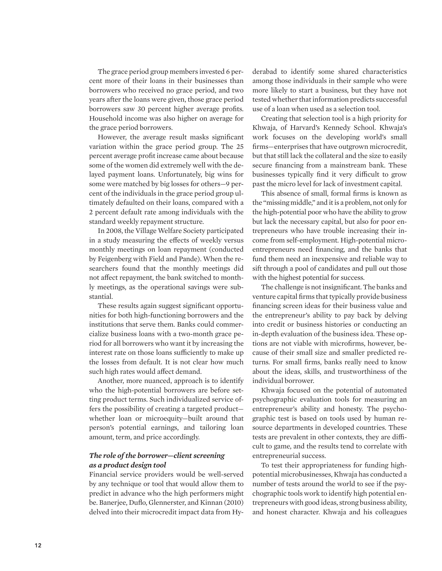The grace period group members invested 6 percent more of their loans in their businesses than borrowers who received no grace period, and two years after the loans were given, those grace period borrowers saw 30 percent higher average profits. Household income was also higher on average for the grace period borrowers.

However, the average result masks significant variation within the grace period group. The 25 percent average profit increase came about because some of the women did extremely well with the delayed payment loans. Unfortunately, big wins for some were matched by big losses for others—9 percent of the individuals in the grace period group ultimately defaulted on their loans, compared with a 2 percent default rate among individuals with the standard weekly repayment structure.

In 2008, the Village Welfare Society participated in a study measuring the effects of weekly versus monthly meetings on loan repayment (conducted by Feigenberg with Field and Pande). When the researchers found that the monthly meetings did not affect repayment, the bank switched to monthly meetings, as the operational savings were substantial.

These results again suggest significant opportunities for both high-functioning borrowers and the institutions that serve them. Banks could commercialize business loans with a two-month grace period for all borrowers who want it by increasing the interest rate on those loans sufficiently to make up the losses from default. It is not clear how much such high rates would affect demand.

Another, more nuanced, approach is to identify who the high-potential borrowers are before setting product terms. Such individualized service offers the possibility of creating a targeted product whether loan or microequity—built around that person's potential earnings, and tailoring loan amount, term, and price accordingly.

### *The role of the borrower—client screening as a product design tool*

Financial service providers would be well-served by any technique or tool that would allow them to predict in advance who the high performers might be. Banerjee, Duflo, Glennerster, and Kinnan (2010) delved into their microcredit impact data from Hy-

derabad to identify some shared characteristics among those individuals in their sample who were more likely to start a business, but they have not tested whether that information predicts successful use of a loan when used as a selection tool.

Creating that selection tool is a high priority for Khwaja, of Harvard's Kennedy School. Khwaja's work focuses on the developing world's small firms—enterprises that have outgrown microcredit, but that still lack the collateral and the size to easily secure financing from a mainstream bank. These businesses typically find it very difficult to grow past the micro level for lack of investment capital.

This absence of small, formal firms is known as the "missing middle," and it is a problem, not only for the high-potential poor who have the ability to grow but lack the necessary capital, but also for poor entrepreneurs who have trouble increasing their income from self-employment. High-potential microentrepreneurs need financing, and the banks that fund them need an inexpensive and reliable way to sift through a pool of candidates and pull out those with the highest potential for success.

The challenge is not insignificant. The banks and venture capital firms that typically provide business financing screen ideas for their business value and the entrepreneur's ability to pay back by delving into credit or business histories or conducting an in-depth evaluation of the business idea. These options are not viable with microfirms, however, because of their small size and smaller predicted returns. For small firms, banks really need to know about the ideas, skills, and trustworthiness of the individual borrower.

Khwaja focused on the potential of automated psychographic evaluation tools for measuring an entrepreneur's ability and honesty. The psychographic test is based on tools used by human resource departments in developed countries. These tests are prevalent in other contexts, they are difficult to game, and the results tend to correlate with entrepreneurial success.

To test their appropriateness for funding highpotential microbusinesses, Khwaja has conducted a number of tests around the world to see if the psychographic tools work to identify high potential entrepreneurs with good ideas, strong business ability, and honest character. Khwaja and his colleagues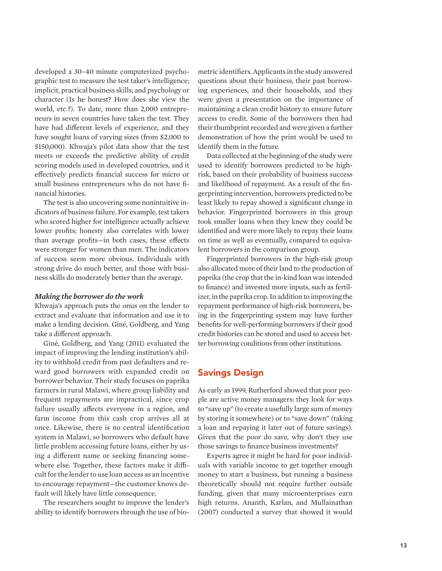developed a 30–40 minute computerized psychographic test to measure the test taker's intelligence; implicit, practical business skills; and psychology or character (Is he honest? How does she view the world, etc.?). To date, more than 2,000 entrepreneurs in seven countries have taken the test. They have had different levels of experience, and they have sought loans of varying sizes (from \$2,000 to \$150,000). Khwaja's pilot data show that the test meets or exceeds the predictive ability of credit scoring models used in developed countries, and it effectively predicts financial success for micro or small business entrepreneurs who do not have financial histories.

The test is also uncovering some nonintuitive indicators of business failure. For example, test takers who scored higher for intelligence actually achieve lower profits; honesty also correlates with lower than average profits—in both cases, these effects were stronger for women than men. The indicators of success seem more obvious. Individuals with strong drive do much better, and those with business skills do moderately better than the average.

#### *Making the borrower do the work*

Khwaja's approach puts the onus on the lender to extract and evaluate that information and use it to make a lending decision. Giné, Goldberg, and Yang take a different approach.

Giné, Goldberg, and Yang (2011) evaluated the impact of improving the lending institution's ability to withhold credit from past defaulters and reward good borrowers with expanded credit on borrower behavior. Their study focuses on paprika farmers in rural Malawi, where group liability and frequent repayments are impractical, since crop failure usually affects everyone in a region, and farm income from this cash crop arrives all at once. Likewise, there is no central identification system in Malawi, so borrowers who default have little problem accessing future loans, either by using a different name or seeking financing somewhere else. Together, these factors make it difficult for the lender to use loan access as an incentive to encourage repayment—the customer knows default will likely have little consequence.

The researchers sought to improve the lender's ability to identify borrowers through the use of biometric identifiers. Applicants in the study answered questions about their business, their past borrowing experiences, and their households, and they were given a presentation on the importance of maintaining a clean credit history to ensure future access to credit. Some of the borrowers then had their thumbprint recorded and were given a further demonstration of how the print would be used to identify them in the future.

Data collected at the beginning of the study were used to identify borrowers predicted to be highrisk, based on their probability of business success and likelihood of repayment. As a result of the fingerprinting intervention, borrowers predicted to be least likely to repay showed a significant change in behavior. Fingerprinted borrowers in this group took smaller loans when they knew they could be identified and were more likely to repay their loans on time as well as eventually, compared to equivalent borrowers in the comparison group.

Fingerprinted borrowers in the high-risk group also allocated more of their land to the production of paprika (the crop that the in-kind loan was intended to finance) and invested more inputs, such as fertilizer, in the paprika crop. In addition to improving the repayment performance of high-risk borrowers, being in the fingerprinting system may have further benefits for well-performing borrowers if their good credit histories can be stored and used to access better borrowing conditions from other institutions.

### Savings Design

As early as 1999, Rutherford showed that poor people are active money managers: they look for ways to "save up" (to create a usefully large sum of money by storing it somewhere) or to "save down" (taking a loan and repaying it later out of future savings). Given that the poor do save, why don't they use those savings to finance business investments?

Experts agree it might be hard for poor individuals with variable income to get together enough money to start a business, but running a business theoretically should not require further outside funding, given that many microenterprises earn high returns. Ananth, Karlan, and Mullainathan (2007) conducted a survey that showed it would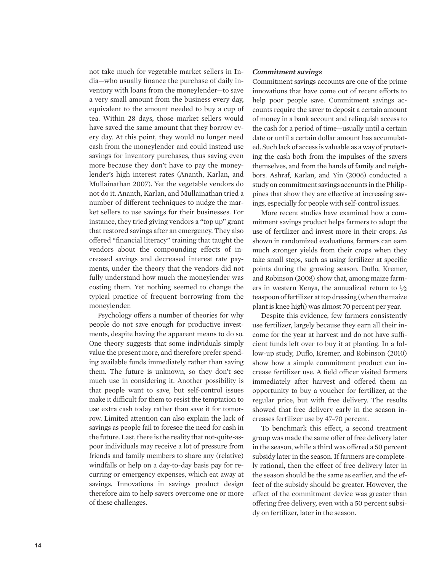not take much for vegetable market sellers in India—who usually finance the purchase of daily inventory with loans from the moneylender—to save a very small amount from the business every day, equivalent to the amount needed to buy a cup of tea. Within 28 days, those market sellers would have saved the same amount that they borrow every day. At this point, they would no longer need cash from the moneylender and could instead use savings for inventory purchases, thus saving even more because they don't have to pay the moneylender's high interest rates (Ananth, Karlan, and Mullainathan 2007). Yet the vegetable vendors do not do it. Ananth, Karlan, and Mullainathan tried a number of different techniques to nudge the market sellers to use savings for their businesses. For instance, they tried giving vendors a "top up" grant that restored savings after an emergency. They also offered "financial literacy" training that taught the vendors about the compounding effects of increased savings and decreased interest rate payments, under the theory that the vendors did not fully understand how much the moneylender was costing them. Yet nothing seemed to change the typical practice of frequent borrowing from the moneylender.

Psychology offers a number of theories for why people do not save enough for productive investments, despite having the apparent means to do so. One theory suggests that some individuals simply value the present more, and therefore prefer spending available funds immediately rather than saving them. The future is unknown, so they don't see much use in considering it. Another possibility is that people want to save, but self-control issues make it difficult for them to resist the temptation to use extra cash today rather than save it for tomorrow. Limited attention can also explain the lack of savings as people fail to foresee the need for cash in the future. Last, there is the reality that not-quite-aspoor individuals may receive a lot of pressure from friends and family members to share any (relative) windfalls or help on a day-to-day basis pay for recurring or emergency expenses, which eat away at savings. Innovations in savings product design therefore aim to help savers overcome one or more of these challenges.

### *Commitment savings*

Commitment savings accounts are one of the prime innovations that have come out of recent efforts to help poor people save. Commitment savings accounts require the saver to deposit a certain amount of money in a bank account and relinquish access to the cash for a period of time—usually until a certain date or until a certain dollar amount has accumulated. Such lack of access is valuable as a way of protecting the cash both from the impulses of the savers themselves, and from the hands of family and neighbors. Ashraf, Karlan, and Yin (2006) conducted a study on commitment savings accounts in the Philippines that show they are effective at increasing savings, especially for people with self-control issues.

More recent studies have examined how a commitment savings product helps farmers to adopt the use of fertilizer and invest more in their crops. As shown in randomized evaluations, farmers can earn much stronger yields from their crops when they take small steps, such as using fertilizer at specific points during the growing season. Duflo, Kremer, and Robinson (2008) show that, among maize farmers in western Kenya, the annualized return to  $\frac{1}{2}$ teaspoon of fertilizer at top dressing (when the maize plant is knee high) was almost 70 percent per year.

Despite this evidence, few farmers consistently use fertilizer, largely because they earn all their income for the year at harvest and do not have sufficient funds left over to buy it at planting. In a follow-up study, Duflo, Kremer, and Robinson (2010) show how a simple commitment product can increase fertilizer use. A field officer visited farmers immediately after harvest and offered them an opportunity to buy a voucher for fertilizer, at the regular price, but with free delivery. The results showed that free delivery early in the season increases fertilizer use by 47–70 percent.

To benchmark this effect, a second treatment group was made the same offer of free delivery later in the season, while a third was offered a 50 percent subsidy later in the season. If farmers are completely rational, then the effect of free delivery later in the season should be the same as earlier, and the effect of the subsidy should be greater. However, the effect of the commitment device was greater than offering free delivery, even with a 50 percent subsidy on fertilizer, later in the season.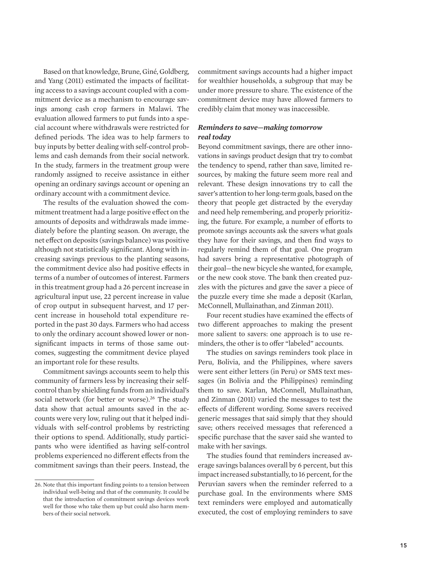Based on that knowledge, Brune, Giné, Goldberg, and Yang (2011) estimated the impacts of facilitating access to a savings account coupled with a commitment device as a mechanism to encourage savings among cash crop farmers in Malawi. The evaluation allowed farmers to put funds into a special account where withdrawals were restricted for defined periods. The idea was to help farmers to buy inputs by better dealing with self-control problems and cash demands from their social network. In the study, farmers in the treatment group were randomly assigned to receive assistance in either opening an ordinary savings account or opening an ordinary account with a commitment device.

The results of the evaluation showed the commitment treatment had a large positive effect on the amounts of deposits and withdrawals made immediately before the planting season. On average, the net effect on deposits (savings balance) was positive although not statistically significant. Along with increasing savings previous to the planting seasons, the commitment device also had positive effects in terms of a number of outcomes of interest. Farmers in this treatment group had a 26 percent increase in agricultural input use, 22 percent increase in value of crop output in subsequent harvest, and 17 percent increase in household total expenditure reported in the past 30 days. Farmers who had access to only the ordinary account showed lower or nonsignificant impacts in terms of those same outcomes, suggesting the commitment device played an important role for these results.

Commitment savings accounts seem to help this community of farmers less by increasing their selfcontrol than by shielding funds from an individual's social network (for better or worse).<sup>26</sup> The study data show that actual amounts saved in the accounts were very low, ruling out that it helped individuals with self-control problems by restricting their options to spend. Additionally, study participants who were identified as having self-control problems experienced no different effects from the commitment savings than their peers. Instead, the commitment savings accounts had a higher impact for wealthier households, a subgroup that may be under more pressure to share. The existence of the commitment device may have allowed farmers to credibly claim that money was inaccessible.

### *Reminders to save—making tomorrow real today*

Beyond commitment savings, there are other innovations in savings product design that try to combat the tendency to spend, rather than save, limited resources, by making the future seem more real and relevant. These design innovations try to call the saver's attention to her long-term goals, based on the theory that people get distracted by the everyday and need help remembering, and properly prioritizing, the future. For example, a number of efforts to promote savings accounts ask the savers what goals they have for their savings, and then find ways to regularly remind them of that goal. One program had savers bring a representative photograph of their goal—the new bicycle she wanted, for example, or the new cook stove. The bank then created puzzles with the pictures and gave the saver a piece of the puzzle every time she made a deposit (Karlan, McConnell, Mullainathan, and Zinman 2011).

Four recent studies have examined the effects of two different approaches to making the present more salient to savers: one approach is to use reminders, the other is to offer "labeled" accounts.

The studies on savings reminders took place in Peru, Bolivia, and the Philippines, where savers were sent either letters (in Peru) or SMS text messages (in Bolivia and the Philippines) reminding them to save. Karlan, McConnell, Mullainathan, and Zinman (2011) varied the messages to test the effects of different wording. Some savers received generic messages that said simply that they should save; others received messages that referenced a specific purchase that the saver said she wanted to make with her savings.

The studies found that reminders increased average savings balances overall by 6 percent, but this impact increased substantially, to 16 percent, for the Peruvian savers when the reminder referred to a purchase goal. In the environments where SMS text reminders were employed and automatically executed, the cost of employing reminders to save

<sup>26.</sup> Note that this important finding points to a tension between individual well-being and that of the community. It could be that the introduction of commitment savings devices work well for those who take them up but could also harm members of their social network.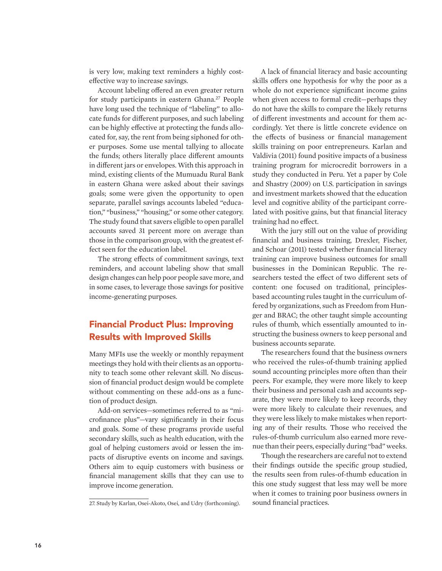is very low, making text reminders a highly costeffective way to increase savings.

Account labeling offered an even greater return for study participants in eastern Ghana.<sup>27</sup> People have long used the technique of "labeling" to allocate funds for different purposes, and such labeling can be highly effective at protecting the funds allocated for, say, the rent from being siphoned for other purposes. Some use mental tallying to allocate the funds; others literally place different amounts in different jars or envelopes. With this approach in mind, existing clients of the Mumuadu Rural Bank in eastern Ghana were asked about their savings goals; some were given the opportunity to open separate, parallel savings accounts labeled "education," "business," "housing," or some other category. The study found that savers eligible to open parallel accounts saved 31 percent more on average than those in the comparison group, with the greatest effect seen for the education label.

The strong effects of commitment savings, text reminders, and account labeling show that small design changes can help poor people save more, and in some cases, to leverage those savings for positive income-generating purposes.

### Financial Product Plus: Improving Results with Improved Skills

Many MFIs use the weekly or monthly repayment meetings they hold with their clients as an opportunity to teach some other relevant skill. No discussion of financial product design would be complete without commenting on these add-ons as a function of product design.

Add-on services—sometimes referred to as "microfinance plus"—vary significantly in their focus and goals. Some of these programs provide useful secondary skills, such as health education, with the goal of helping customers avoid or lessen the impacts of disruptive events on income and savings. Others aim to equip customers with business or financial management skills that they can use to improve income generation.

A lack of financial literacy and basic accounting skills offers one hypothesis for why the poor as a whole do not experience significant income gains when given access to formal credit—perhaps they do not have the skills to compare the likely returns of different investments and account for them accordingly. Yet there is little concrete evidence on the effects of business or financial management skills training on poor entrepreneurs. Karlan and Valdivia (2011) found positive impacts of a business training program for microcredit borrowers in a study they conducted in Peru. Yet a paper by Cole and Shastry (2009) on U.S. participation in savings and investment markets showed that the education level and cognitive ability of the participant correlated with positive gains, but that financial literacy training had no effect.

With the jury still out on the value of providing financial and business training, Drexler, Fischer, and Schoar (2011) tested whether financial literacy training can improve business outcomes for small businesses in the Dominican Republic. The researchers tested the effect of two different sets of content: one focused on traditional, principlesbased accounting rules taught in the curriculum offered by organizations, such as Freedom from Hunger and BRAC; the other taught simple accounting rules of thumb, which essentially amounted to instructing the business owners to keep personal and business accounts separate.

The researchers found that the business owners who received the rules-of-thumb training applied sound accounting principles more often than their peers. For example, they were more likely to keep their business and personal cash and accounts separate, they were more likely to keep records, they were more likely to calculate their revenues, and they were less likely to make mistakes when reporting any of their results. Those who received the rules-of-thumb curriculum also earned more revenue than their peers, especially during "bad" weeks.

Though the researchers are careful not to extend their findings outside the specific group studied, the results seen from rules-of-thumb education in this one study suggest that less may well be more when it comes to training poor business owners in

<sup>27.</sup> Study by Karlan, Osei-Akoto, Osei, and Udry (forthcoming). sound financial practices.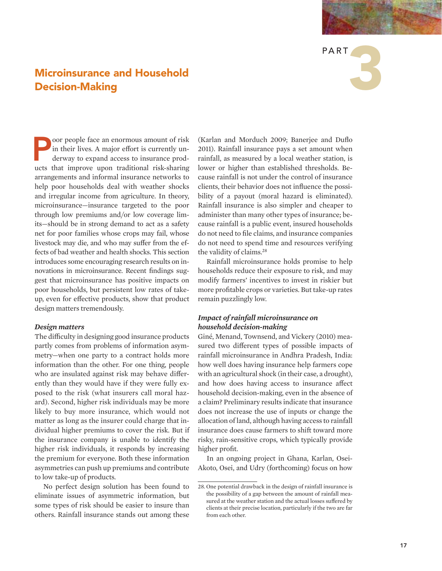# PART 3

### Microinsurance and Household Decision-Making

oor people face an enormous amount of risk in their lives. A major effort is currently underway to expand access to insurance products that improve upon traditional risk-sharing arrangements and informal insurance networks to help poor households deal with weather shocks and irregular income from agriculture. In theory, microinsurance—insurance targeted to the poor through low premiums and/or low coverage limits—should be in strong demand to act as a safety net for poor families whose crops may fail, whose livestock may die, and who may suffer from the effects of bad weather and health shocks. This section introduces some encouraging research results on innovations in microinsurance. Recent findings suggest that microinsurance has positive impacts on poor households, but persistent low rates of takeup, even for effective products, show that product design matters tremendously.

#### *Design matters*

The difficulty in designing good insurance products partly comes from problems of information asymmetry—when one party to a contract holds more information than the other. For one thing, people who are insulated against risk may behave differently than they would have if they were fully exposed to the risk (what insurers call moral hazard). Second, higher risk individuals may be more likely to buy more insurance, which would not matter as long as the insurer could charge that individual higher premiums to cover the risk. But if the insurance company is unable to identify the higher risk individuals, it responds by increasing the premium for everyone. Both these information asymmetries can push up premiums and contribute to low take-up of products.

No perfect design solution has been found to eliminate issues of asymmetric information, but some types of risk should be easier to insure than others. Rainfall insurance stands out among these

(Karlan and Morduch 2009; Banerjee and Duflo 2011). Rainfall insurance pays a set amount when rainfall, as measured by a local weather station, is lower or higher than established thresholds. Because rainfall is not under the control of insurance clients, their behavior does not influence the possibility of a payout (moral hazard is eliminated). Rainfall insurance is also simpler and cheaper to administer than many other types of insurance; because rainfall is a public event, insured households do not need to file claims, and insurance companies do not need to spend time and resources verifying the validity of claims.28

Rainfall microinsurance holds promise to help households reduce their exposure to risk, and may modify farmers' incentives to invest in riskier but more profitable crops or varieties. But take-up rates remain puzzlingly low.

### *Impact of rainfall microinsurance on household decision-making*

Giné, Menand, Townsend, and Vickery (2010) measured two different types of possible impacts of rainfall microinsurance in Andhra Pradesh, India: how well does having insurance help farmers cope with an agricultural shock (in their case, a drought), and how does having access to insurance affect household decision-making, even in the absence of a claim? Preliminary results indicate that insurance does not increase the use of inputs or change the allocation of land, although having access to rainfall insurance does cause farmers to shift toward more risky, rain-sensitive crops, which typically provide higher profit.

In an ongoing project in Ghana, Karlan, Osei-Akoto, Osei, and Udry (forthcoming) focus on how

<sup>28.</sup> One potential drawback in the design of rainfall insurance is the possibility of a gap between the amount of rainfall measured at the weather station and the actual losses suffered by clients at their precise location, particularly if the two are far from each other.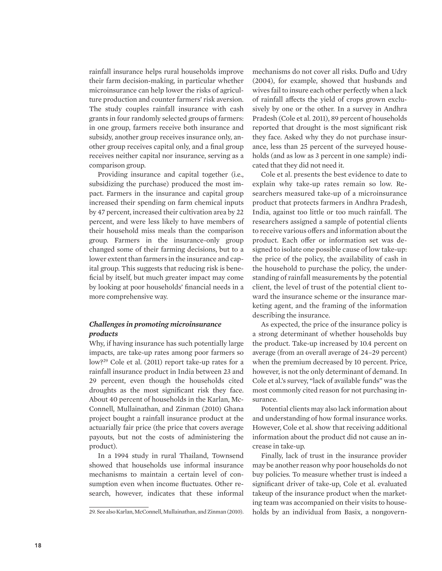rainfall insurance helps rural households improve their farm decision-making, in particular whether microinsurance can help lower the risks of agriculture production and counter farmers' risk aversion. The study couples rainfall insurance with cash grants in four randomly selected groups of farmers: in one group, farmers receive both insurance and subsidy, another group receives insurance only, another group receives capital only, and a final group receives neither capital nor insurance, serving as a comparison group.

Providing insurance and capital together (i.e., subsidizing the purchase) produced the most impact. Farmers in the insurance and capital group increased their spending on farm chemical inputs by 47 percent, increased their cultivation area by 22 percent, and were less likely to have members of their household miss meals than the comparison group. Farmers in the insurance-only group changed some of their farming decisions, but to a lower extent than farmers in the insurance and capital group. This suggests that reducing risk is beneficial by itself, but much greater impact may come by looking at poor households' financial needs in a more comprehensive way.

### *Challenges in promoting microinsurance products*

Why, if having insurance has such potentially large impacts, are take-up rates among poor farmers so low?29 Cole et al. (2011) report take-up rates for a rainfall insurance product in India between 23 and 29 percent, even though the households cited droughts as the most significant risk they face. About 40 percent of households in the Karlan, Mc-Connell, Mullainathan, and Zinman (2010) Ghana project bought a rainfall insurance product at the actuarially fair price (the price that covers average payouts, but not the costs of administering the product).

In a 1994 study in rural Thailand, Townsend showed that households use informal insurance mechanisms to maintain a certain level of consumption even when income fluctuates. Other research, however, indicates that these informal

mechanisms do not cover all risks. Duflo and Udry (2004), for example, showed that husbands and wives fail to insure each other perfectly when a lack of rainfall affects the yield of crops grown exclusively by one or the other. In a survey in Andhra Pradesh (Cole et al. 2011), 89 percent of households reported that drought is the most significant risk they face. Asked why they do not purchase insurance, less than 25 percent of the surveyed households (and as low as 3 percent in one sample) indicated that they did not need it.

Cole et al. presents the best evidence to date to explain why take-up rates remain so low. Researchers measured take-up of a microinsurance product that protects farmers in Andhra Pradesh, India, against too little or too much rainfall. The researchers assigned a sample of potential clients to receive various offers and information about the product. Each offer or information set was designed to isolate one possible cause of low take-up: the price of the policy, the availability of cash in the household to purchase the policy, the understanding of rainfall measurements by the potential client, the level of trust of the potential client toward the insurance scheme or the insurance marketing agent, and the framing of the information describing the insurance.

As expected, the price of the insurance policy is a strong determinant of whether households buy the product. Take-up increased by 10.4 percent on average (from an overall average of 24–29 percent) when the premium decreased by 10 percent. Price, however, is not the only determinant of demand. In Cole et al.'s survey, "lack of available funds" was the most commonly cited reason for not purchasing insurance.

Potential clients may also lack information about and understanding of how formal insurance works. However, Cole et al. show that receiving additional information about the product did not cause an increase in take-up.

Finally, lack of trust in the insurance provider may be another reason why poor households do not buy policies. To measure whether trust is indeed a significant driver of take-up, Cole et al. evaluated takeup of the insurance product when the marketing team was accompanied on their visits to house-29. See also Karlan, McConnell, Mullainathan, and Zinman (2010). holds by an individual from Basix, a nongovern-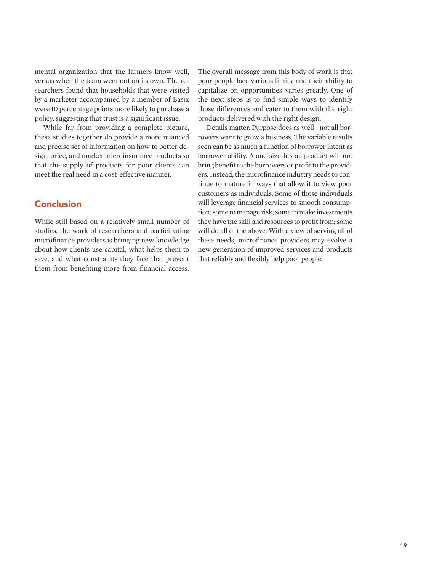mental organization that the farmers know well, versus when the team went out on its own. The researchers found that households that were visited by a marketer accompanied by a member of Basix were 10 percentage points more likely to purchase a policy, suggesting that trust is a significant issue.

While far from providing a complete picture, these studies together do provide a more nuanced and precise set of information on how to better design, price, and market microinsurance products so that the supply of products for poor clients can meet the real need in a cost-effective manner.

### **Conclusion**

While still based on a relatively small number of studies, the work of researchers and participating microfinance providers is bringing new knowledge about how clients use capital, what helps them to save, and what constraints they face that prevent them from benefiting more from financial access.

The overall message from this body of work is that poor people face various limits, and their ability to capitalize on opportunities varies greatly. One of the next steps is to find simple ways to identify those differences and cater to them with the right products delivered with the right design.

Details matter. Purpose does as well—not all borrowers want to grow a business. The variable results seen can be as much a function of borrower intent as borrower ability. A one-size-fits-all product will not bring benefit to the borrowers or profit to the providers. Instead, the microfinance industry needs to continue to mature in ways that allow it to view poor customers as individuals. Some of those individuals will leverage financial services to smooth consumption; some to manage risk; some to make investments they have the skill and resources to profit from; some will do all of the above. With a view of serving all of these needs, microfinance providers may evolve a new generation of improved services and products that reliably and flexibly help poor people.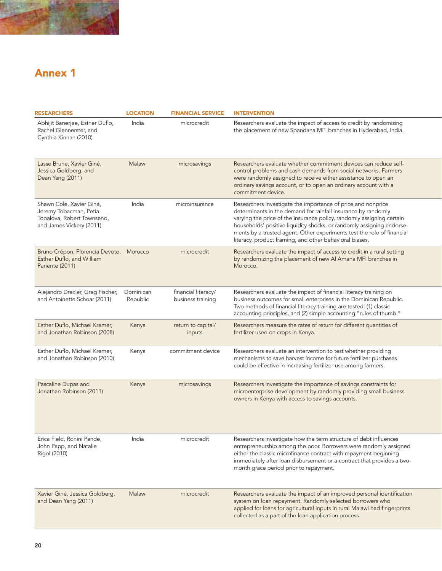

## Annex 1

| <b>RESEARCHERS</b>                                                                                           | <b>LOCATION</b>       | <b>FINANCIAL SERVICE</b>                 | <b>INTERVENTION</b>                                                                                                                                                                                                                                                                                                                                                                                                  |  |
|--------------------------------------------------------------------------------------------------------------|-----------------------|------------------------------------------|----------------------------------------------------------------------------------------------------------------------------------------------------------------------------------------------------------------------------------------------------------------------------------------------------------------------------------------------------------------------------------------------------------------------|--|
| Abhijit Banerjee, Esther Duflo,<br>Rachel Glennerster, and<br>Cynthia Kinnan (2010)                          | India                 | microcredit                              | Researchers evaluate the impact of access to credit by randomizing<br>the placement of new Spandana MFI branches in Hyderabad, India.                                                                                                                                                                                                                                                                                |  |
| Lasse Brune, Xavier Giné,<br>Jessica Goldberg, and<br>Dean Yang (2011)                                       | Malawi                | microsavings                             | Researchers evaluate whether commitment devices can reduce self-<br>control problems and cash demands from social networks. Farmers<br>were randomly assigned to receive either assistance to open an<br>ordinary savings account, or to open an ordinary account with a<br>commitment device.                                                                                                                       |  |
| Shawn Cole, Xavier Giné,<br>Jeremy Tobacman, Petia<br>Topalova, Robert Townsend,<br>and James Vickery (2011) | India                 | microinsurance                           | Researchers investigate the importance of price and nonprice<br>determinants in the demand for rainfall insurance by randomly<br>varying the price of the insurance policy, randomly assigning certain<br>households' positive liquidity shocks, or randomly assigning endorse-<br>ments by a trusted agent. Other experiments test the role of financial<br>literacy, product framing, and other behavioral biases. |  |
| Bruno Crépon, Florencia Devoto, Morocco<br>Esther Duflo, and William<br>Pariente (2011)                      |                       | microcredit                              | Researchers evaluate the impact of access to credit in a rural setting<br>by randomizing the placement of new Al Amana MFI branches in<br>Morocco.                                                                                                                                                                                                                                                                   |  |
| Alejandro Drexler, Greg Fischer,<br>and Antoinette Schoar (2011)                                             | Dominican<br>Republic | financial literacy/<br>business training | Researchers evaluate the impact of financial literacy training on<br>business outcomes for small enterprises in the Dominican Republic.<br>Two methods of financial literacy training are tested: (1) classic<br>accounting principles, and (2) simple accounting "rules of thumb."                                                                                                                                  |  |
| Esther Duflo, Michael Kremer,<br>and Jonathan Robinson (2008)                                                | Kenya                 | return to capital/<br>inputs             | Researchers measure the rates of return for different quantities of<br>fertilizer used on crops in Kenya.                                                                                                                                                                                                                                                                                                            |  |
| Esther Duflo, Michael Kremer,<br>and Jonathan Robinson (2010)                                                | Kenya                 | commitment device                        | Researchers evaluate an intervention to test whether providing<br>mechanisms to save harvest income for future fertilizer purchases<br>could be effective in increasing fertilizer use among farmers.                                                                                                                                                                                                                |  |
| Pascaline Dupas and<br>Jonathan Robinson (2011)                                                              | Kenya                 | microsavings                             | Researchers investigate the importance of savings constraints for<br>microenterprise development by randomly providing small business<br>owners in Kenya with access to savings accounts.                                                                                                                                                                                                                            |  |
| Erica Field, Rohini Pande,<br>John Papp, and Natalie<br>Rigol (2010)                                         | India                 | microcredit                              | Researchers investigate how the term structure of debt influences<br>entrepreneurship among the poor. Borrowers were randomly assigned<br>either the classic microfinance contract with repayment beginning<br>immediately after loan disbursement or a contract that provides a two-<br>month grace period prior to repayment.                                                                                      |  |
| Xavier Giné, Jessica Goldberg,<br>and Dean Yang (2011)                                                       | Malawi                | microcredit                              | Researchers evaluate the impact of an improved personal identification<br>system on loan repayment. Randomly selected borrowers who<br>applied for loans for agricultural inputs in rural Malawi had fingerprints<br>collected as a part of the loan application process.                                                                                                                                            |  |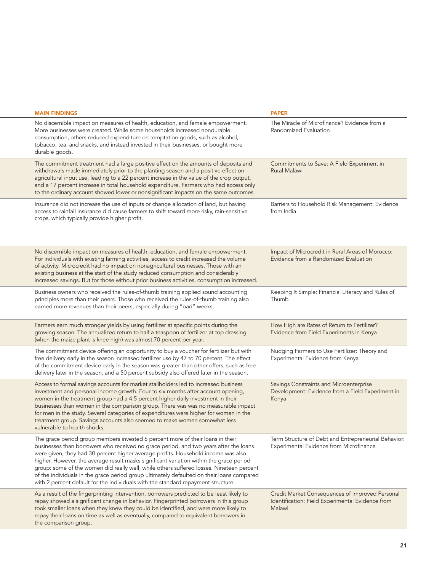| <b>MAIN FINDINGS</b>                                                                                                                                                                                                                                                                                                                                                                                                                                                                                                                                                                                                                  | <b>PAPER</b>                                                                                                  |
|---------------------------------------------------------------------------------------------------------------------------------------------------------------------------------------------------------------------------------------------------------------------------------------------------------------------------------------------------------------------------------------------------------------------------------------------------------------------------------------------------------------------------------------------------------------------------------------------------------------------------------------|---------------------------------------------------------------------------------------------------------------|
| No discernible impact on measures of health, education, and female empowerment.<br>More businesses were created. While some households increased nondurable<br>consumption, others reduced expenditure on temptation goods, such as alcohol,<br>tobacco, tea, and snacks, and instead invested in their businesses, or bought more<br>durable goods.                                                                                                                                                                                                                                                                                  | The Miracle of Microfinance? Evidence from a<br>Randomized Evaluation                                         |
| The commitment treatment had a large positive effect on the amounts of deposits and<br>withdrawals made immediately prior to the planting season and a positive effect on<br>agricultural input use, leading to a 22 percent increase in the value of the crop output,<br>and a 17 percent increase in total household expenditure. Farmers who had access only<br>to the ordinary account showed lower or nonsignificant impacts on the same outcomes.                                                                                                                                                                               | Commitments to Save: A Field Experiment in<br>Rural Malawi                                                    |
| Insurance did not increase the use of inputs or change allocation of land, but having<br>access to rainfall insurance did cause farmers to shift toward more risky, rain-sensitive<br>crops, which typically provide higher profit.                                                                                                                                                                                                                                                                                                                                                                                                   | Barriers to Household Risk Management: Evidence<br>from India                                                 |
| No discernible impact on measures of health, education, and female empowerment.<br>For individuals with existing farming activities, access to credit increased the volume<br>of activity. Microcredit had no impact on nonagricultural businesses. Those with an<br>existing business at the start of the study reduced consumption and considerably<br>increased savings. But for those without prior business activities, consumption increased                                                                                                                                                                                    | Impact of Microcredit in Rural Areas of Morocco:<br>Evidence from a Randomized Evaluation                     |
| Business owners who received the rules-of-thumb training applied sound accounting<br>principles more than their peers. Those who received the rules-of-thumb training also<br>earned more revenues than their peers, especially during "bad" weeks.                                                                                                                                                                                                                                                                                                                                                                                   | Keeping It Simple: Financial Literacy and Rules of<br>Thumb                                                   |
| Farmers earn much stronger yields by using fertilizer at specific points during the<br>growing season. The annualized return to half a teaspoon of fertilizer at top dressing<br>(when the maize plant is knee high) was almost 70 percent per year.                                                                                                                                                                                                                                                                                                                                                                                  | How High are Rates of Return to Fertilizer?<br>Evidence from Field Experiments in Kenya                       |
| The commitment device offering an opportunity to buy a voucher for fertilizer but with<br>free delivery early in the season increased fertilizer use by 47 to 70 percent. The effect<br>of the commitment device early in the season was greater than other offers, such as free<br>delivery later in the season, and a 50 percent subsidy also offered later in the season.                                                                                                                                                                                                                                                          | Nudging Farmers to Use Fertilizer: Theory and<br>Experimental Evidence from Kenya                             |
| Access to formal savings accounts for market stallholders led to increased business<br>investment and personal income growth. Four to six months after account opening,<br>women in the treatment group had a 4.5 percent higher daily investment in their<br>businesses than women in the comparison group. There was was no measurable impact<br>for men in the study. Several categories of expenditures were higher for women in the<br>treatment group. Savings accounts also seemed to make women somewhat less<br>vulnerable to health shocks.                                                                                 | Savings Constraints and Microenterprise<br>Development: Evidence from a Field Experiment in<br>Kenya          |
| The grace period group members invested 6 percent more of their loans in their<br>businesses than borrowers who received no grace period, and two years after the loans<br>were given, they had 30 percent higher average profits. Household income was also<br>higher. However, the average result masks significant variation within the grace period<br>group: some of the women did really well, while others suffered losses. Nineteen percent<br>of the individuals in the grace period group ultimately defaulted on their loans compared<br>with 2 percent default for the individuals with the standard repayment structure. | Term Structure of Debt and Entrepreneurial Behavior:<br>Experimental Evidence from Microfinance               |
| As a result of the fingerprinting intervention, borrowers predicted to be least likely to<br>repay showed a significant change in behavior. Fingerprinted borrowers in this group<br>took smaller loans when they knew they could be identified, and were more likely to<br>repay their loans on time as well as eventually, compared to equivalent borrowers in<br>the comparison group.                                                                                                                                                                                                                                             | Credit Market Consequences of Improved Personal<br>Identification: Field Experimental Evidence from<br>Malawi |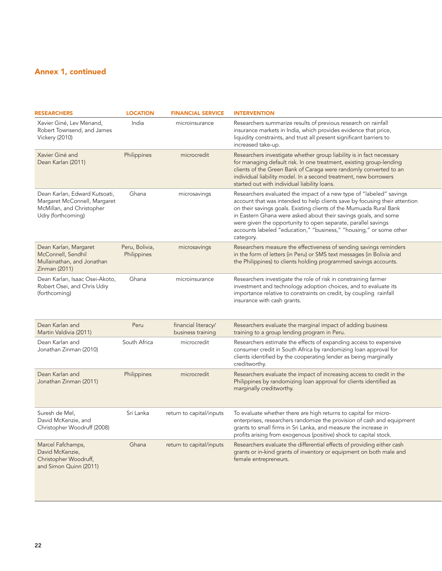### Annex 1, continued

| <b>RESEARCHERS</b>                                                                                              | <b>LOCATION</b>               | <b>FINANCIAL SERVICE</b>                 | <b>INTERVENTION</b>                                                                                                                                                                                                                                                                                                                                                                                                                            |  |
|-----------------------------------------------------------------------------------------------------------------|-------------------------------|------------------------------------------|------------------------------------------------------------------------------------------------------------------------------------------------------------------------------------------------------------------------------------------------------------------------------------------------------------------------------------------------------------------------------------------------------------------------------------------------|--|
| Xavier Giné, Lev Menand,<br>Robert Townsend, and James<br><b>Vickery (2010)</b>                                 | India                         | microinsurance                           | Researchers summarize results of previous research on rainfall<br>insurance markets in India, which provides evidence that price,<br>liquidity constraints, and trust all present significant barriers to<br>increased take-up.                                                                                                                                                                                                                |  |
| Xavier Giné and<br>Dean Karlan (2011)                                                                           | Philippines                   | microcredit                              | Researchers investigate whether group liability is in fact necessary<br>for managing default risk. In one treatment, existing group-lending<br>clients of the Green Bank of Caraga were randomly converted to an<br>individual liability model. In a second treatment, new borrowers<br>started out with individual liability loans.                                                                                                           |  |
| Dean Karlan, Edward Kutsoati<br>Margaret McConnell, Margaret<br>McMillan, and Christopher<br>Udry (forthcoming) | Ghana                         | microsavings                             | Researchers evaluated the impact of a new type of "labeled" savings<br>account that was intended to help clients save by focusing their attention<br>on their savings goals. Existing clients of the Mumuada Rural Bank<br>in Eastern Ghana were asked about their savings goals, and some<br>were given the opportunity to open separate, parallel savings<br>accounts labeled "education," "business," "housing," or some other<br>category. |  |
| Dean Karlan, Margaret<br>McConnell, Sendhil<br>Mullainathan, and Jonathan<br>Zinman (2011)                      | Peru, Bolivia,<br>Philippines | microsavings                             | Researchers measure the effectiveness of sending savings reminders<br>in the form of letters (in Peru) or SMS text messages (in Bolivia and<br>the Philippines) to clients holding programmed savings accounts.                                                                                                                                                                                                                                |  |
| Dean Karlan, Isaac Osei-Akoto,<br>Robert Osei, and Chris Udry<br>(forthcoming)                                  | Ghana                         | microinsurance                           | Researchers investigate the role of risk in constraining farmer<br>investment and technology adoption choices, and to evaluate its<br>importance relative to constraints on credit, by coupling rainfall<br>insurance with cash grants.                                                                                                                                                                                                        |  |
| Dean Karlan and<br>Martin Valdivia (2011)                                                                       | Peru                          | financial literacy/<br>business training | Researchers evaluate the marginal impact of adding business<br>training to a group lending program in Peru.                                                                                                                                                                                                                                                                                                                                    |  |
| Dean Karlan and<br>Jonathan Zinman (2010)                                                                       | South Africa                  | microcredit                              | Researchers estimate the effects of expanding access to expensive<br>consumer credit in South Africa by randomizing loan approval for<br>clients identified by the cooperating lender as being marginally<br>creditworthy.                                                                                                                                                                                                                     |  |
| Dean Karlan and<br>Jonathan Zinman (2011)                                                                       | Philippines                   | microcredit                              | Researchers evaluate the impact of increasing access to credit in the<br>Philippines by randomizing loan approval for clients identified as<br>marginally creditworthy.                                                                                                                                                                                                                                                                        |  |
| Suresh de Mel,<br>David McKenzie, and<br>Christopher Woodruff (2008)                                            | Sri Lanka                     | return to capital/inputs                 | To evaluate whether there are high returns to capital for micro-<br>enterprises, researchers randomize the provision of cash and equipment<br>grants to small firms in Sri Lanka, and measure the increase in<br>profits arising from exogenous (positive) shock to capital stock.                                                                                                                                                             |  |
| Marcel Fafchamps,<br>David McKenzie,<br>Christopher Woodruff,<br>and Simon Quinn (2011)                         | Ghana                         | return to capital/inputs                 | Researchers evaluate the differential effects of providing either cash<br>grants or in-kind grants of inventory or equipment on both male and<br>female entrepreneurs.                                                                                                                                                                                                                                                                         |  |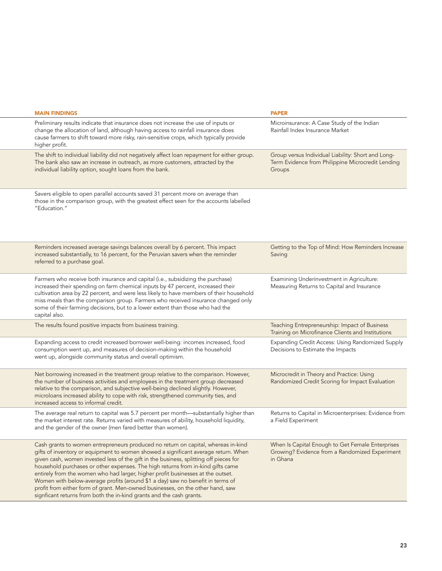| <b>MAIN FINDINGS</b>                                                                                                                                                                                                                                                                                                                                                                                                                                                                                                                                                                                                                                                               | <b>PAPER</b>                                                                                                      |
|------------------------------------------------------------------------------------------------------------------------------------------------------------------------------------------------------------------------------------------------------------------------------------------------------------------------------------------------------------------------------------------------------------------------------------------------------------------------------------------------------------------------------------------------------------------------------------------------------------------------------------------------------------------------------------|-------------------------------------------------------------------------------------------------------------------|
| Preliminary results indicate that insurance does not increase the use of inputs or<br>change the allocation of land, although having access to rainfall insurance does<br>cause farmers to shift toward more risky, rain-sensitive crops, which typically provide<br>higher profit                                                                                                                                                                                                                                                                                                                                                                                                 | Microinsurance: A Case Study of the Indian<br>Rainfall Index Insurance Market                                     |
| The shift to individual liability did not negatively affect loan repayment for either group.<br>The bank also saw an increase in outreach, as more customers, attracted by the<br>individual liability option, sought loans from the bank.                                                                                                                                                                                                                                                                                                                                                                                                                                         | Group versus Individual Liability: Short and Long-<br>Term Evidence from Philippine Microcredit Lending<br>Groups |
| Savers eligible to open parallel accounts saved 31 percent more on average than<br>those in the comparison group, with the greatest effect seen for the accounts labelled<br>"Education."                                                                                                                                                                                                                                                                                                                                                                                                                                                                                          |                                                                                                                   |
| Reminders increased average savings balances overall by 6 percent. This impact<br>increased substantially, to 16 percent, for the Peruvian savers when the reminder<br>referred to a purchase goal.                                                                                                                                                                                                                                                                                                                                                                                                                                                                                | Getting to the Top of Mind: How Reminders Increase<br>Saving                                                      |
| Farmers who receive both insurance and capital (i.e., subsidizing the purchase)<br>increased their spending on farm chemical inputs by 47 percent, increased their<br>cultivation area by 22 percent, and were less likely to have members of their household<br>miss meals than the comparison group. Farmers who received insurance changed only<br>some of their farming decisions, but to a lower extent than those who had the<br>capital also.                                                                                                                                                                                                                               | Examining Underinvestment in Agriculture:<br>Measuring Returns to Capital and Insurance                           |
| The results found positive impacts from business training.                                                                                                                                                                                                                                                                                                                                                                                                                                                                                                                                                                                                                         | Teaching Entrepreneurship: Impact of Business<br>Training on Microfinance Clients and Institutions                |
| Expanding access to credit increased borrower well-being: incomes increased, food<br>consumption went up, and measures of decision-making within the household<br>went up, alongside community status and overall optimism.                                                                                                                                                                                                                                                                                                                                                                                                                                                        | Expanding Credit Access: Using Randomized Supply<br>Decisions to Estimate the Impacts                             |
| Net borrowing increased in the treatment group relative to the comparison. However,<br>the number of business activities and employees in the treatment group decreased<br>relative to the comparison, and subjective well-being declined slightly. However,<br>microloans increased ability to cope with risk, strengthened community ties, and<br>increased access to informal credit.                                                                                                                                                                                                                                                                                           | Microcredit in Theory and Practice: Using<br>Randomized Credit Scoring for Impact Evaluation                      |
| The average real return to capital was 5.7 percent per month—substantially higher than<br>the market interest rate. Returns varied with measures of ability, household liquidity,<br>and the gender of the owner (men fared better than women).                                                                                                                                                                                                                                                                                                                                                                                                                                    | Returns to Capital in Microenterprises: Evidence from<br>a Field Experiment                                       |
| Cash grants to women entrepreneurs produced no return on capital, whereas in-kind<br>gifts of inventory or equipment to women showed a significant average return. When<br>given cash, women invested less of the gift in the business, splitting off pieces for<br>household purchases or other expenses. The high returns from in-kind gifts came<br>entirely from the women who had larger, higher profit businesses at the outset.<br>Women with below-average profits (around \$1 a day) saw no benefit in terms of<br>profit from either form of grant. Men-owned businesses, on the other hand, saw<br>signficant returns from both the in-kind grants and the cash grants. | When Is Capital Enough to Get Female Enterprises<br>Growing? Evidence from a Randomized Experiment<br>in Ghana    |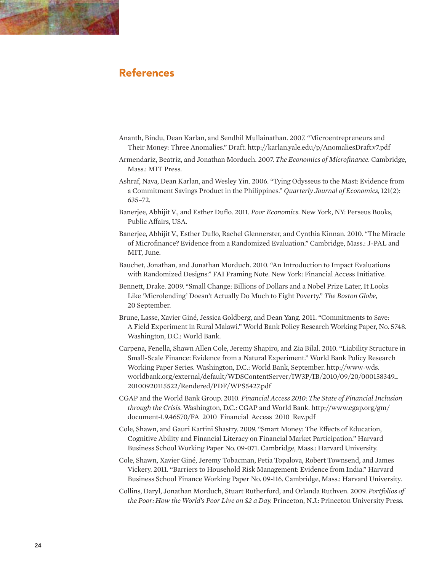

- Ananth, Bindu, Dean Karlan, and Sendhil Mullainathan. 2007. "Microentrepreneurs and Their Money: Three Anomalies." Draft. http://karlan.yale.edu/p/AnomaliesDraft.v7.pdf
- Armendariz, Beatriz, and Jonathan Morduch. 2007. *The Economics of Microfinance.* Cambridge, Mass.: MIT Press.
- Ashraf, Nava, Dean Karlan, and Wesley Yin. 2006. "Tying Odysseus to the Mast: Evidence from a Commitment Savings Product in the Philippines." *Quarterly Journal of Economics,* 121(2): 635–72.
- Banerjee, Abhijit V., and Esther Duflo. 2011. *Poor Economics.* New York, NY: Perseus Books, Public Affairs, USA.
- Banerjee, Abhijit V., Esther Duflo, Rachel Glennerster, and Cynthia Kinnan. 2010. "The Miracle of Microfinance? Evidence from a Randomized Evaluation." Cambridge, Mass.: J-PAL and MIT, June.
- Bauchet, Jonathan, and Jonathan Morduch. 2010. "An Introduction to Impact Evaluations with Randomized Designs." FAI Framing Note. New York: Financial Access Initiative.
- Bennett, Drake. 2009. "Small Change: Billions of Dollars and a Nobel Prize Later, It Looks Like 'Microlending' Doesn't Actually Do Much to Fight Poverty." *The Boston Globe,*  20 September.
- Brune, Lasse, Xavier Giné, Jessica Goldberg, and Dean Yang. 2011. "Commitments to Save: A Field Experiment in Rural Malawi." World Bank Policy Research Working Paper, No. 5748. Washington, D.C.: World Bank.
- Carpena, Fenella, Shawn Allen Cole, Jeremy Shapiro, and Zia Bilal. 2010. "Liability Structure in Small-Scale Finance: Evidence from a Natural Experiment." World Bank Policy Research Working Paper Series. Washington, D.C.: World Bank, September. http://www-wds. worldbank.org/external/default/WDSContentServer/IW3P/IB/2010/09/20/000158349\_ 20100920115522/Rendered/PDF/WPS5427.pdf
- CGAP and the World Bank Group. 2010. *Financial Access 2010: The State of Financial Inclusion through the Crisis.* Washington, D.C.: CGAP and World Bank. http://www.cgap.org/gm/ document-1.9.46570/FA\_2010\_Financial\_Access\_2010\_Rev.pdf
- Cole, Shawn, and Gauri Kartini Shastry. 2009. "Smart Money: The Effects of Education, Cognitive Ability and Financial Literacy on Financial Market Participation." Harvard Business School Working Paper No. 09-071. Cambridge, Mass.: Harvard University.
- Cole, Shawn, Xavier Giné, Jeremy Tobacman, Petia Topalova, Robert Townsend, and James Vickery. 2011. "Barriers to Household Risk Management: Evidence from India." Harvard Business School Finance Working Paper No. 09-116. Cambridge, Mass.: Harvard University.
- Collins, Daryl, Jonathan Morduch, Stuart Rutherford, and Orlanda Ruthven. 2009. *Portfolios of the Poor: How the World's Poor Live on \$2 a Day.* Princeton, N.J.: Princeton University Press.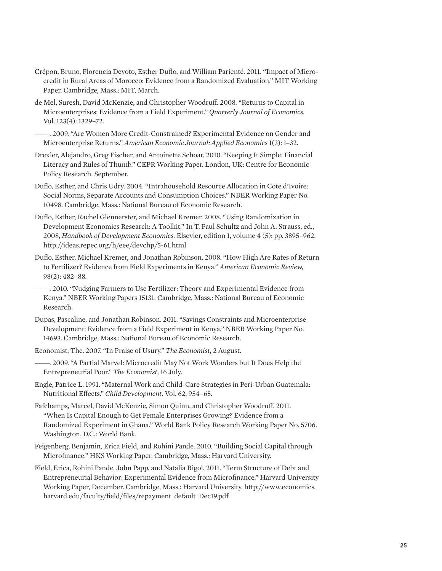- Crépon, Bruno, Florencia Devoto, Esther Duflo, and William Parienté. 2011. "Impact of Microcredit in Rural Areas of Morocco: Evidence from a Randomized Evaluation." MIT Working Paper. Cambridge, Mass.: MIT, March.
- de Mel, Suresh, David McKenzie, and Christopher Woodruff. 2008. "Returns to Capital in Microenterprises: Evidence from a Field Experiment." *Quarterly Journal of Economics,* Vol. 123(4): 1329–72.
- ———. 2009. "Are Women More Credit-Constrained? Experimental Evidence on Gender and Microenterprise Returns." *American Economic Journal: Applied Economics* 1(3): 1–32.
- Drexler, Alejandro, Greg Fischer, and Antoinette Schoar. 2010. "Keeping It Simple: Financial Literacy and Rules of Thumb." CEPR Working Paper. London, UK: Centre for Economic Policy Research. September.
- Duflo, Esther, and Chris Udry. 2004. "Intrahousehold Resource Allocation in Cote d'Ivoire: Social Norms, Separate Accounts and Consumption Choices." NBER Working Paper No. 10498. Cambridge, Mass.: National Bureau of Economic Research.
- Duflo, Esther, Rachel Glennerster, and Michael Kremer. 2008. "Using Randomization in Development Economics Research: A Toolkit." In T. Paul Schultz and John A. Strauss, ed., 2008, *Handbook of Development Economics,* Elsevier, edition 1, volume 4 (5): pp. 3895–962. http://ideas.repec.org/h/eee/devchp/5-61.html
- Duflo, Esther, Michael Kremer, and Jonathan Robinson. 2008. "How High Are Rates of Return to Fertilizer? Evidence from Field Experiments in Kenya." *American Economic Review,*  98(2): 482–88.
- ———. 2010. "Nudging Farmers to Use Fertilizer: Theory and Experimental Evidence from Kenya." NBER Working Papers 15131. Cambridge, Mass.: National Bureau of Economic Research.
- Dupas, Pascaline, and Jonathan Robinson. 2011. "Savings Constraints and Microenterprise Development: Evidence from a Field Experiment in Kenya." NBER Working Paper No. 14693. Cambridge, Mass.: National Bureau of Economic Research.
- Economist, The. 2007. "In Praise of Usury." *The Economist,* 2 August.
- ———. 2009. "A Partial Marvel: Microcredit May Not Work Wonders but It Does Help the Entrepreneurial Poor." *The Economist,* 16 July.
- Engle, Patrice L. 1991. "Maternal Work and Child-Care Strategies in Peri-Urban Guatemala: Nutritional Effects." *Child Development.* Vol. 62, 954–65.
- Fafchamps, Marcel, David McKenzie, Simon Quinn, and Christopher Woodruff. 2011. "When Is Capital Enough to Get Female Enterprises Growing? Evidence from a Randomized Experiment in Ghana." World Bank Policy Research Working Paper No. 5706. Washington, D.C.: World Bank.
- Feigenberg, Benjamin, Erica Field, and Rohini Pande. 2010. "Building Social Capital through Microfinance." HKS Working Paper. Cambridge, Mass.: Harvard University.
- Field, Erica, Rohini Pande, John Papp, and Natalia Rigol. 2011. "Term Structure of Debt and Entrepreneurial Behavior: Experimental Evidence from Microfinance." Harvard University Working Paper, December. Cambridge, Mass.: Harvard University. http://www.economics. harvard.edu/faculty/field/files/repayment\_default\_Dec19.pdf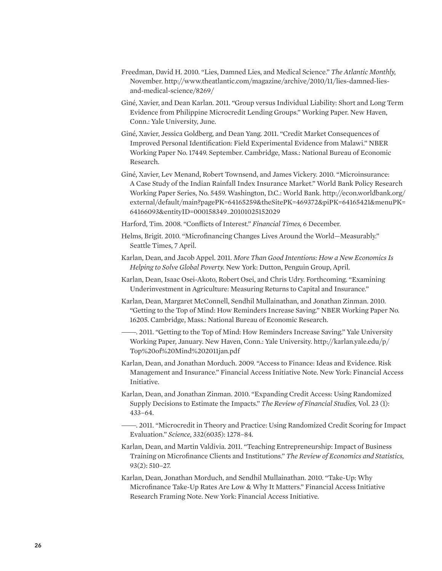- Freedman, David H. 2010. "Lies, Damned Lies, and Medical Science." *The Atlantic Monthly,* November. http://www.theatlantic.com/magazine/archive/2010/11/lies-damned-liesand-medical-science/8269/
- Giné, Xavier, and Dean Karlan. 2011. "Group versus Individual Liability: Short and Long Term Evidence from Philippine Microcredit Lending Groups." Working Paper. New Haven, Conn.: Yale University, June.
- Giné, Xavier, Jessica Goldberg, and Dean Yang. 2011. "Credit Market Consequences of Improved Personal Identification: Field Experimental Evidence from Malawi." NBER Working Paper No. 17449. September. Cambridge, Mass.: National Bureau of Economic Research.
- Giné, Xavier, Lev Menand, Robert Townsend, and James Vickery. 2010. "Microinsurance: A Case Study of the Indian Rainfall Index Insurance Market." World Bank Policy Research Working Paper Series, No. 5459. Washington, D.C.: World Bank. http://econ.worldbank.org/ external/default/main?pagePK=64165259&theSitePK=469372&piPK=64165421&menuPK= 64166093&entityID=000158349\_20101025152029
- Harford, Tim. 2008. "Conflicts of Interest." *Financial Times,* 6 December.
- Helms, Brigit. 2010. "Microfinancing Changes Lives Around the World—Measurably." Seattle Times, 7 April.
- Karlan, Dean, and Jacob Appel. 2011. *More Than Good Intentions: How a New Economics Is Helping to Solve Global Poverty.* New York: Dutton, Penguin Group, April.
- Karlan, Dean, Isaac Osei-Akoto, Robert Osei, and Chris Udry. Forthcoming. "Examining Underinvestment in Agriculture: Measuring Returns to Capital and Insurance."
- Karlan, Dean, Margaret McConnell, Sendhil Mullainathan, and Jonathan Zinman. 2010. "Getting to the Top of Mind: How Reminders Increase Saving." NBER Working Paper No. 16205. Cambridge, Mass.: National Bureau of Economic Research.
	- ———. 2011. "Getting to the Top of Mind: How Reminders Increase Saving." Yale University Working Paper, January. New Haven, Conn.: Yale University. http://karlan.yale.edu/p/ Top%20of%20Mind%202011jan.pdf
- Karlan, Dean, and Jonathan Morduch. 2009. "Access to Finance: Ideas and Evidence. Risk Management and Insurance." Financial Access Initiative Note. New York: Financial Access Initiative.
- Karlan, Dean, and Jonathan Zinman. 2010. "Expanding Credit Access: Using Randomized Supply Decisions to Estimate the Impacts." *The Review of Financial Studies,* Vol. 23 (1): 433–64.
- ———. 2011. "Microcredit in Theory and Practice: Using Randomized Credit Scoring for Impact Evaluation." *Science,* 332(6035): 1278–84.
- Karlan, Dean, and Martin Valdivia. 2011. "Teaching Entrepreneurship: Impact of Business Training on Microfinance Clients and Institutions." *The Review of Economics and Statistics,*  93(2): 510–27.
- Karlan, Dean, Jonathan Morduch, and Sendhil Mullainathan. 2010. "Take-Up: Why Microfinance Take-Up Rates Are Low & Why It Matters." Financial Access Initiative Research Framing Note. New York: Financial Access Initiative.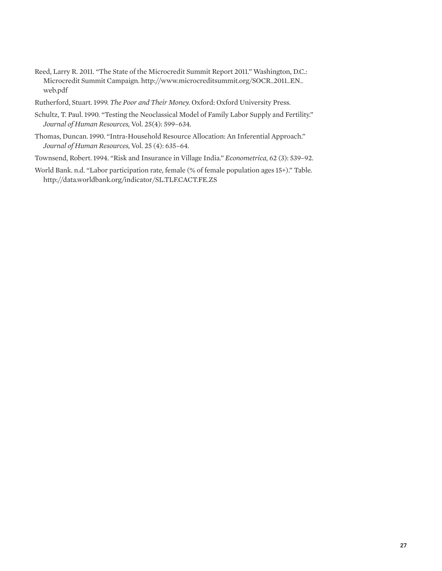- Reed, Larry R. 2011. "The State of the Microcredit Summit Report 2011." Washington, D.C.: Microcredit Summit Campaign. http://www.microcreditsummit.org/SOCR\_2011\_EN\_ web.pdf
- Rutherford, Stuart. 1999. *The Poor and Their Money.* Oxford: Oxford University Press.
- Schultz, T. Paul. 1990. "Testing the Neoclassical Model of Family Labor Supply and Fertility." *Journal of Human Resources,* Vol. 25(4): 599–634.
- Thomas, Duncan. 1990. "Intra-Household Resource Allocation: An Inferential Approach." *Journal of Human Resources,* Vol. 25 (4): 635–64.
- Townsend, Robert. 1994. "Risk and Insurance in Village India." *Econometrica,* 62 (3): 539–92.
- World Bank. n.d. "Labor participation rate, female (% of female population ages 15+)." Table. http://data.worldbank.org/indicator/SL.TLF.CACT.FE.ZS